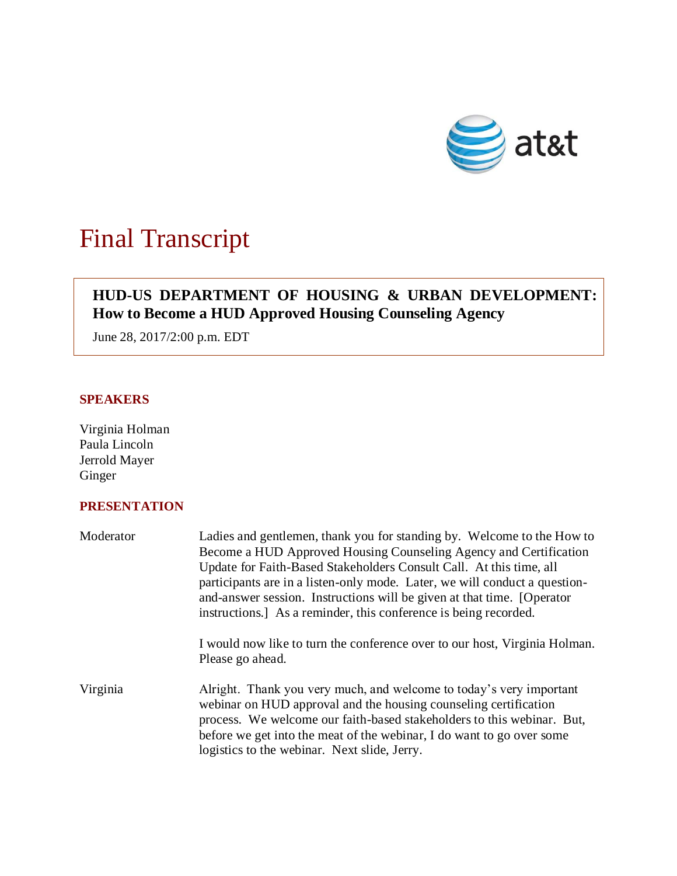

# Final Transcript

## **HUD-US DEPARTMENT OF HOUSING & URBAN DEVELOPMENT: How to Become a HUD Approved Housing Counseling Agency**

June 28, 2017/2:00 p.m. EDT

#### **SPEAKERS**

Virginia Holman Paula Lincoln Jerrold Mayer Ginger

### **PRESENTATION**

| Moderator | Ladies and gentlemen, thank you for standing by. Welcome to the How to<br>Become a HUD Approved Housing Counseling Agency and Certification<br>Update for Faith-Based Stakeholders Consult Call. At this time, all<br>participants are in a listen-only mode. Later, we will conduct a question-<br>and-answer session. Instructions will be given at that time. [Operator]<br>instructions.] As a reminder, this conference is being recorded. |
|-----------|-------------------------------------------------------------------------------------------------------------------------------------------------------------------------------------------------------------------------------------------------------------------------------------------------------------------------------------------------------------------------------------------------------------------------------------------------|
|           | I would now like to turn the conference over to our host, Virginia Holman.<br>Please go ahead.                                                                                                                                                                                                                                                                                                                                                  |
| Virginia  | Alright. Thank you very much, and welcome to today's very important<br>webinar on HUD approval and the housing counseling certification<br>process. We welcome our faith-based stakeholders to this webinar. But,<br>before we get into the meat of the webinar, I do want to go over some<br>logistics to the webinar. Next slide, Jerry.                                                                                                      |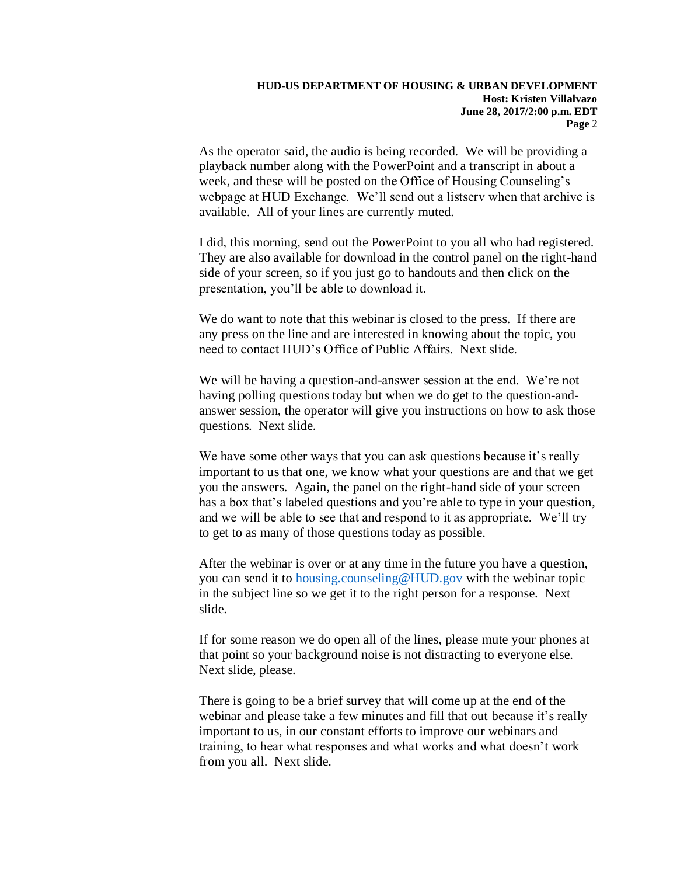As the operator said, the audio is being recorded. We will be providing a playback number along with the PowerPoint and a transcript in about a week, and these will be posted on the Office of Housing Counseling's webpage at HUD Exchange. We'll send out a listserv when that archive is available. All of your lines are currently muted.

I did, this morning, send out the PowerPoint to you all who had registered. They are also available for download in the control panel on the right-hand side of your screen, so if you just go to handouts and then click on the presentation, you'll be able to download it.

We do want to note that this webinar is closed to the press. If there are any press on the line and are interested in knowing about the topic, you need to contact HUD's Office of Public Affairs. Next slide.

We will be having a question-and-answer session at the end. We're not having polling questions today but when we do get to the question-andanswer session, the operator will give you instructions on how to ask those questions. Next slide.

We have some other ways that you can ask questions because it's really important to us that one, we know what your questions are and that we get you the answers. Again, the panel on the right-hand side of your screen has a box that's labeled questions and you're able to type in your question, and we will be able to see that and respond to it as appropriate. We'll try to get to as many of those questions today as possible.

After the webinar is over or at any time in the future you have a question, you can send it to [housing.counseling@HUD.gov](mailto:housing.counseling@HUD.gov) with the webinar topic in the subject line so we get it to the right person for a response. Next slide.

If for some reason we do open all of the lines, please mute your phones at that point so your background noise is not distracting to everyone else. Next slide, please.

There is going to be a brief survey that will come up at the end of the webinar and please take a few minutes and fill that out because it's really important to us, in our constant efforts to improve our webinars and training, to hear what responses and what works and what doesn't work from you all. Next slide.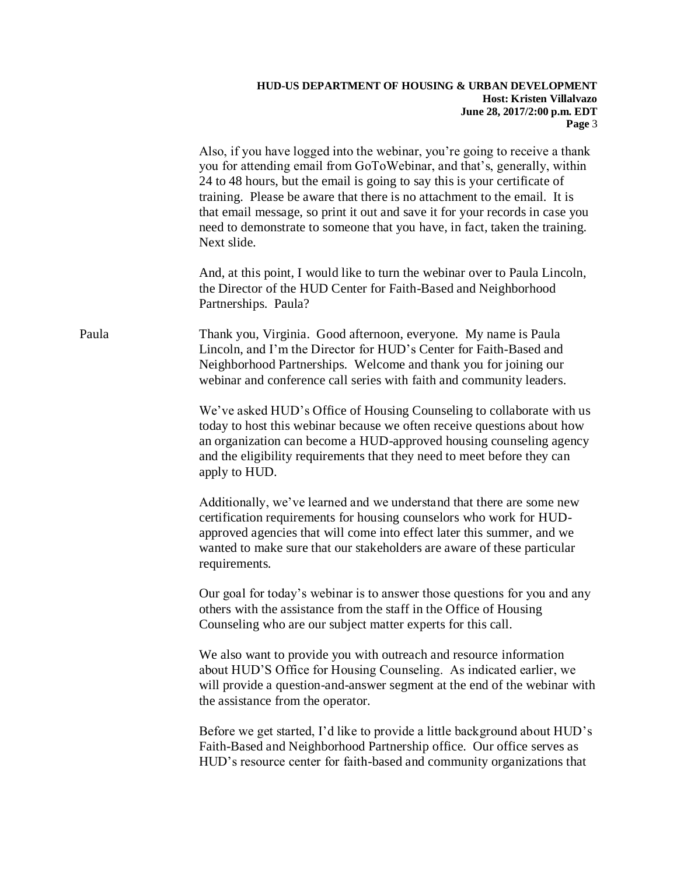|       | Also, if you have logged into the webinar, you're going to receive a thank<br>you for attending email from GoToWebinar, and that's, generally, within<br>24 to 48 hours, but the email is going to say this is your certificate of<br>training. Please be aware that there is no attachment to the email. It is<br>that email message, so print it out and save it for your records in case you<br>need to demonstrate to someone that you have, in fact, taken the training.<br>Next slide. |
|-------|----------------------------------------------------------------------------------------------------------------------------------------------------------------------------------------------------------------------------------------------------------------------------------------------------------------------------------------------------------------------------------------------------------------------------------------------------------------------------------------------|
|       | And, at this point, I would like to turn the webinar over to Paula Lincoln,<br>the Director of the HUD Center for Faith-Based and Neighborhood<br>Partnerships. Paula?                                                                                                                                                                                                                                                                                                                       |
| Paula | Thank you, Virginia. Good afternoon, everyone. My name is Paula<br>Lincoln, and I'm the Director for HUD's Center for Faith-Based and<br>Neighborhood Partnerships. Welcome and thank you for joining our<br>webinar and conference call series with faith and community leaders.                                                                                                                                                                                                            |
|       | We've asked HUD's Office of Housing Counseling to collaborate with us<br>today to host this webinar because we often receive questions about how<br>an organization can become a HUD-approved housing counseling agency<br>and the eligibility requirements that they need to meet before they can<br>apply to HUD.                                                                                                                                                                          |
|       | Additionally, we've learned and we understand that there are some new<br>certification requirements for housing counselors who work for HUD-<br>approved agencies that will come into effect later this summer, and we<br>wanted to make sure that our stakeholders are aware of these particular<br>requirements.                                                                                                                                                                           |
|       | Our goal for today's webinar is to answer those questions for you and any<br>others with the assistance from the staff in the Office of Housing<br>Counseling who are our subject matter experts for this call.                                                                                                                                                                                                                                                                              |
|       | We also want to provide you with outreach and resource information<br>about HUD'S Office for Housing Counseling. As indicated earlier, we<br>will provide a question-and-answer segment at the end of the webinar with<br>the assistance from the operator.                                                                                                                                                                                                                                  |
|       | Before we get started, I'd like to provide a little background about HUD's<br>Faith-Based and Neighborhood Partnership office. Our office serves as<br>HUD's resource center for faith-based and community organizations that                                                                                                                                                                                                                                                                |
|       |                                                                                                                                                                                                                                                                                                                                                                                                                                                                                              |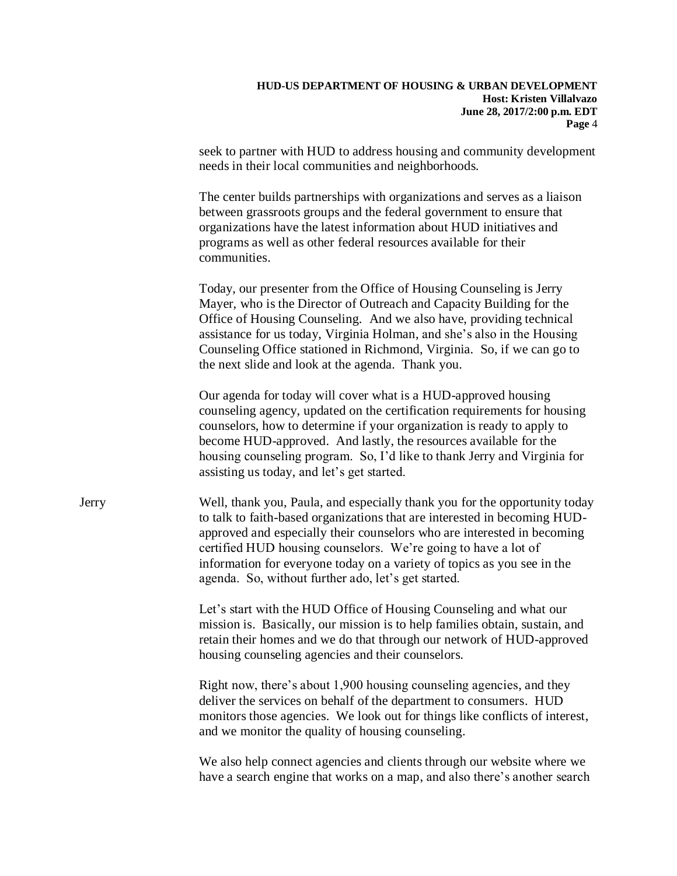seek to partner with HUD to address housing and community development needs in their local communities and neighborhoods.

The center builds partnerships with organizations and serves as a liaison between grassroots groups and the federal government to ensure that organizations have the latest information about HUD initiatives and programs as well as other federal resources available for their communities.

Today, our presenter from the Office of Housing Counseling is Jerry Mayer, who is the Director of Outreach and Capacity Building for the Office of Housing Counseling. And we also have, providing technical assistance for us today, Virginia Holman, and she's also in the Housing Counseling Office stationed in Richmond, Virginia. So, if we can go to the next slide and look at the agenda. Thank you.

Our agenda for today will cover what is a HUD-approved housing counseling agency, updated on the certification requirements for housing counselors, how to determine if your organization is ready to apply to become HUD-approved. And lastly, the resources available for the housing counseling program. So, I'd like to thank Jerry and Virginia for assisting us today, and let's get started.

Jerry Well, thank you, Paula, and especially thank you for the opportunity today to talk to faith-based organizations that are interested in becoming HUDapproved and especially their counselors who are interested in becoming certified HUD housing counselors. We're going to have a lot of information for everyone today on a variety of topics as you see in the agenda. So, without further ado, let's get started.

> Let's start with the HUD Office of Housing Counseling and what our mission is. Basically, our mission is to help families obtain, sustain, and retain their homes and we do that through our network of HUD-approved housing counseling agencies and their counselors.

> Right now, there's about 1,900 housing counseling agencies, and they deliver the services on behalf of the department to consumers. HUD monitors those agencies. We look out for things like conflicts of interest, and we monitor the quality of housing counseling.

> We also help connect agencies and clients through our website where we have a search engine that works on a map, and also there's another search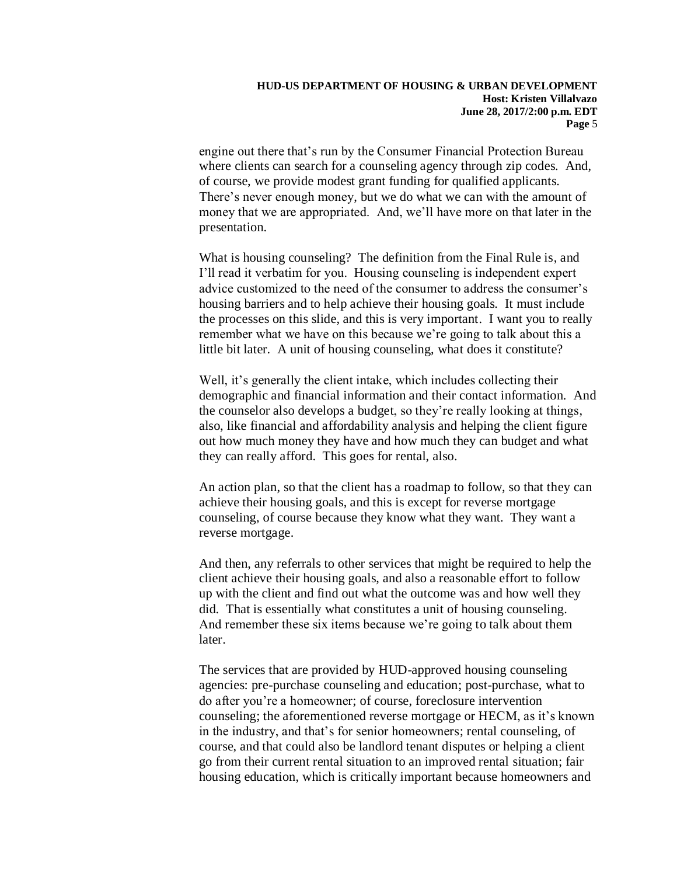engine out there that's run by the Consumer Financial Protection Bureau where clients can search for a counseling agency through zip codes. And, of course, we provide modest grant funding for qualified applicants. There's never enough money, but we do what we can with the amount of money that we are appropriated. And, we'll have more on that later in the presentation.

What is housing counseling? The definition from the Final Rule is, and I'll read it verbatim for you. Housing counseling is independent expert advice customized to the need of the consumer to address the consumer's housing barriers and to help achieve their housing goals. It must include the processes on this slide, and this is very important. I want you to really remember what we have on this because we're going to talk about this a little bit later. A unit of housing counseling, what does it constitute?

Well, it's generally the client intake, which includes collecting their demographic and financial information and their contact information. And the counselor also develops a budget, so they're really looking at things, also, like financial and affordability analysis and helping the client figure out how much money they have and how much they can budget and what they can really afford. This goes for rental, also.

An action plan, so that the client has a roadmap to follow, so that they can achieve their housing goals, and this is except for reverse mortgage counseling, of course because they know what they want. They want a reverse mortgage.

And then, any referrals to other services that might be required to help the client achieve their housing goals, and also a reasonable effort to follow up with the client and find out what the outcome was and how well they did. That is essentially what constitutes a unit of housing counseling. And remember these six items because we're going to talk about them later.

The services that are provided by HUD-approved housing counseling agencies: pre-purchase counseling and education; post-purchase, what to do after you're a homeowner; of course, foreclosure intervention counseling; the aforementioned reverse mortgage or HECM, as it's known in the industry, and that's for senior homeowners; rental counseling, of course, and that could also be landlord tenant disputes or helping a client go from their current rental situation to an improved rental situation; fair housing education, which is critically important because homeowners and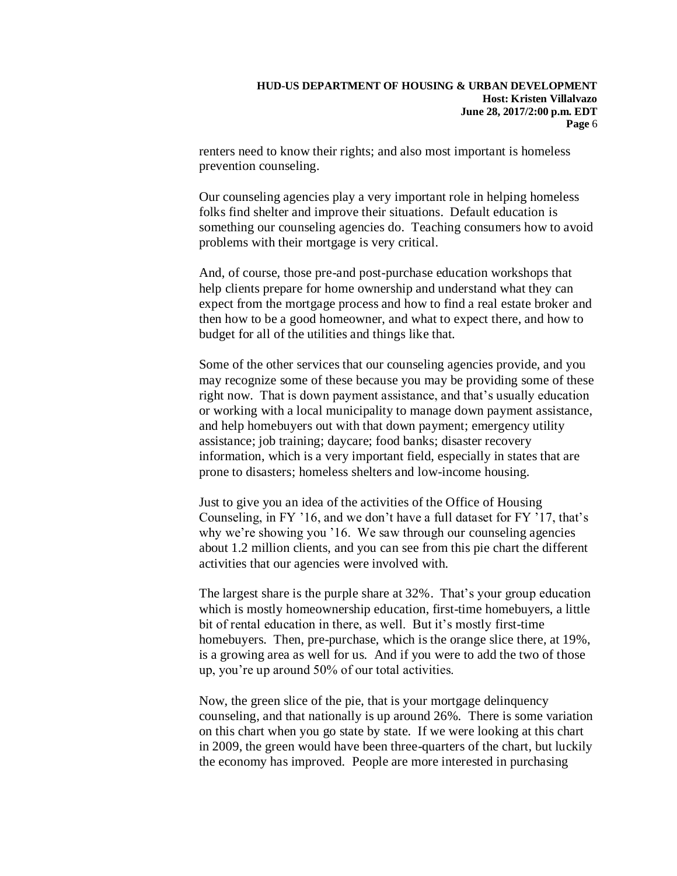renters need to know their rights; and also most important is homeless prevention counseling.

Our counseling agencies play a very important role in helping homeless folks find shelter and improve their situations. Default education is something our counseling agencies do. Teaching consumers how to avoid problems with their mortgage is very critical.

And, of course, those pre-and post-purchase education workshops that help clients prepare for home ownership and understand what they can expect from the mortgage process and how to find a real estate broker and then how to be a good homeowner, and what to expect there, and how to budget for all of the utilities and things like that.

Some of the other services that our counseling agencies provide, and you may recognize some of these because you may be providing some of these right now. That is down payment assistance, and that's usually education or working with a local municipality to manage down payment assistance, and help homebuyers out with that down payment; emergency utility assistance; job training; daycare; food banks; disaster recovery information, which is a very important field, especially in states that are prone to disasters; homeless shelters and low-income housing.

Just to give you an idea of the activities of the Office of Housing Counseling, in FY '16, and we don't have a full dataset for FY '17, that's why we're showing you '16. We saw through our counseling agencies about 1.2 million clients, and you can see from this pie chart the different activities that our agencies were involved with.

The largest share is the purple share at 32%. That's your group education which is mostly homeownership education, first-time homebuyers, a little bit of rental education in there, as well. But it's mostly first-time homebuyers. Then, pre-purchase, which is the orange slice there, at 19%, is a growing area as well for us. And if you were to add the two of those up, you're up around 50% of our total activities.

Now, the green slice of the pie, that is your mortgage delinquency counseling, and that nationally is up around 26%. There is some variation on this chart when you go state by state. If we were looking at this chart in 2009, the green would have been three-quarters of the chart, but luckily the economy has improved. People are more interested in purchasing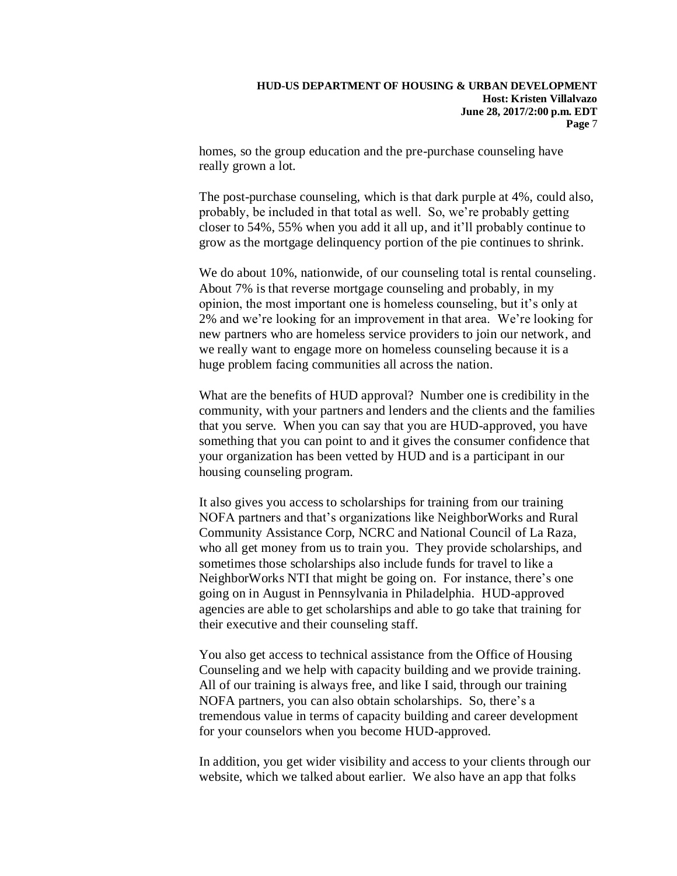homes, so the group education and the pre-purchase counseling have really grown a lot.

The post-purchase counseling, which is that dark purple at 4%, could also, probably, be included in that total as well. So, we're probably getting closer to 54%, 55% when you add it all up, and it'll probably continue to grow as the mortgage delinquency portion of the pie continues to shrink.

We do about 10%, nationwide, of our counseling total is rental counseling. About 7% is that reverse mortgage counseling and probably, in my opinion, the most important one is homeless counseling, but it's only at 2% and we're looking for an improvement in that area. We're looking for new partners who are homeless service providers to join our network, and we really want to engage more on homeless counseling because it is a huge problem facing communities all across the nation.

What are the benefits of HUD approval? Number one is credibility in the community, with your partners and lenders and the clients and the families that you serve. When you can say that you are HUD-approved, you have something that you can point to and it gives the consumer confidence that your organization has been vetted by HUD and is a participant in our housing counseling program.

It also gives you access to scholarships for training from our training NOFA partners and that's organizations like NeighborWorks and Rural Community Assistance Corp, NCRC and National Council of La Raza, who all get money from us to train you. They provide scholarships, and sometimes those scholarships also include funds for travel to like a NeighborWorks NTI that might be going on. For instance, there's one going on in August in Pennsylvania in Philadelphia. HUD-approved agencies are able to get scholarships and able to go take that training for their executive and their counseling staff.

You also get access to technical assistance from the Office of Housing Counseling and we help with capacity building and we provide training. All of our training is always free, and like I said, through our training NOFA partners, you can also obtain scholarships. So, there's a tremendous value in terms of capacity building and career development for your counselors when you become HUD-approved.

In addition, you get wider visibility and access to your clients through our website, which we talked about earlier. We also have an app that folks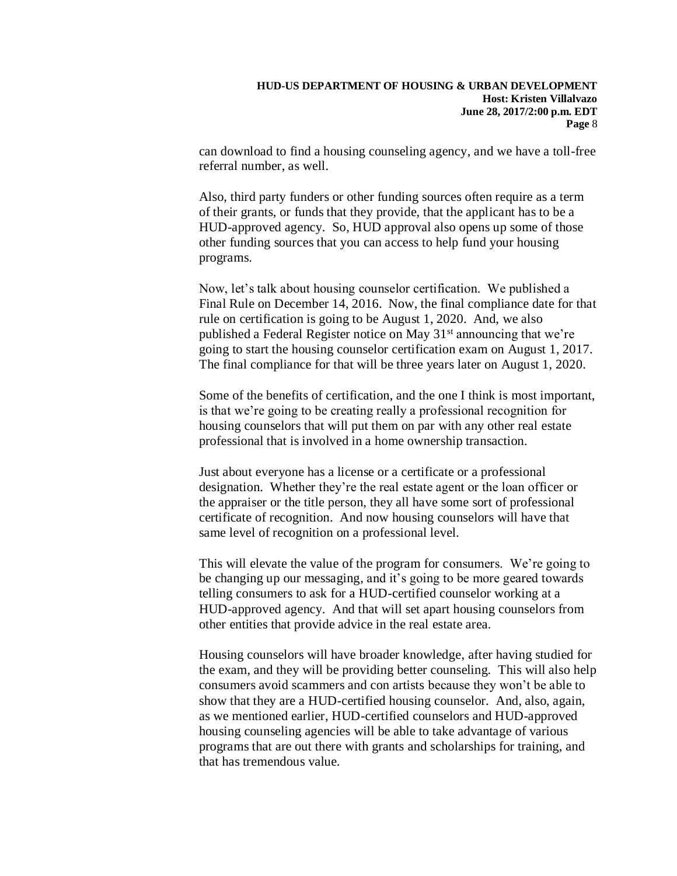can download to find a housing counseling agency, and we have a toll-free referral number, as well.

Also, third party funders or other funding sources often require as a term of their grants, or funds that they provide, that the applicant has to be a HUD-approved agency. So, HUD approval also opens up some of those other funding sources that you can access to help fund your housing programs.

Now, let's talk about housing counselor certification. We published a Final Rule on December 14, 2016. Now, the final compliance date for that rule on certification is going to be August 1, 2020. And, we also published a Federal Register notice on May 31<sup>st</sup> announcing that we're going to start the housing counselor certification exam on August 1, 2017. The final compliance for that will be three years later on August 1, 2020.

Some of the benefits of certification, and the one I think is most important, is that we're going to be creating really a professional recognition for housing counselors that will put them on par with any other real estate professional that is involved in a home ownership transaction.

Just about everyone has a license or a certificate or a professional designation. Whether they're the real estate agent or the loan officer or the appraiser or the title person, they all have some sort of professional certificate of recognition. And now housing counselors will have that same level of recognition on a professional level.

This will elevate the value of the program for consumers. We're going to be changing up our messaging, and it's going to be more geared towards telling consumers to ask for a HUD-certified counselor working at a HUD-approved agency. And that will set apart housing counselors from other entities that provide advice in the real estate area.

Housing counselors will have broader knowledge, after having studied for the exam, and they will be providing better counseling. This will also help consumers avoid scammers and con artists because they won't be able to show that they are a HUD-certified housing counselor. And, also, again, as we mentioned earlier, HUD-certified counselors and HUD-approved housing counseling agencies will be able to take advantage of various programs that are out there with grants and scholarships for training, and that has tremendous value.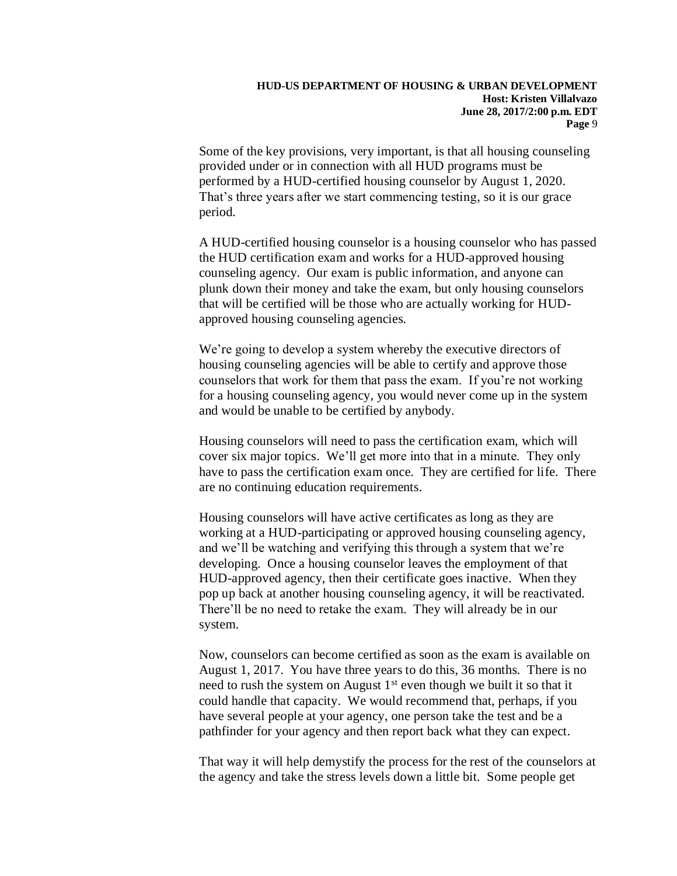Some of the key provisions, very important, is that all housing counseling provided under or in connection with all HUD programs must be performed by a HUD-certified housing counselor by August 1, 2020. That's three years after we start commencing testing, so it is our grace period.

A HUD-certified housing counselor is a housing counselor who has passed the HUD certification exam and works for a HUD-approved housing counseling agency. Our exam is public information, and anyone can plunk down their money and take the exam, but only housing counselors that will be certified will be those who are actually working for HUDapproved housing counseling agencies.

We're going to develop a system whereby the executive directors of housing counseling agencies will be able to certify and approve those counselors that work for them that pass the exam. If you're not working for a housing counseling agency, you would never come up in the system and would be unable to be certified by anybody.

Housing counselors will need to pass the certification exam, which will cover six major topics. We'll get more into that in a minute. They only have to pass the certification exam once. They are certified for life. There are no continuing education requirements.

Housing counselors will have active certificates as long as they are working at a HUD-participating or approved housing counseling agency, and we'll be watching and verifying this through a system that we're developing. Once a housing counselor leaves the employment of that HUD-approved agency, then their certificate goes inactive. When they pop up back at another housing counseling agency, it will be reactivated. There'll be no need to retake the exam. They will already be in our system.

Now, counselors can become certified as soon as the exam is available on August 1, 2017. You have three years to do this, 36 months. There is no need to rush the system on August  $1<sup>st</sup>$  even though we built it so that it could handle that capacity. We would recommend that, perhaps, if you have several people at your agency, one person take the test and be a pathfinder for your agency and then report back what they can expect.

That way it will help demystify the process for the rest of the counselors at the agency and take the stress levels down a little bit. Some people get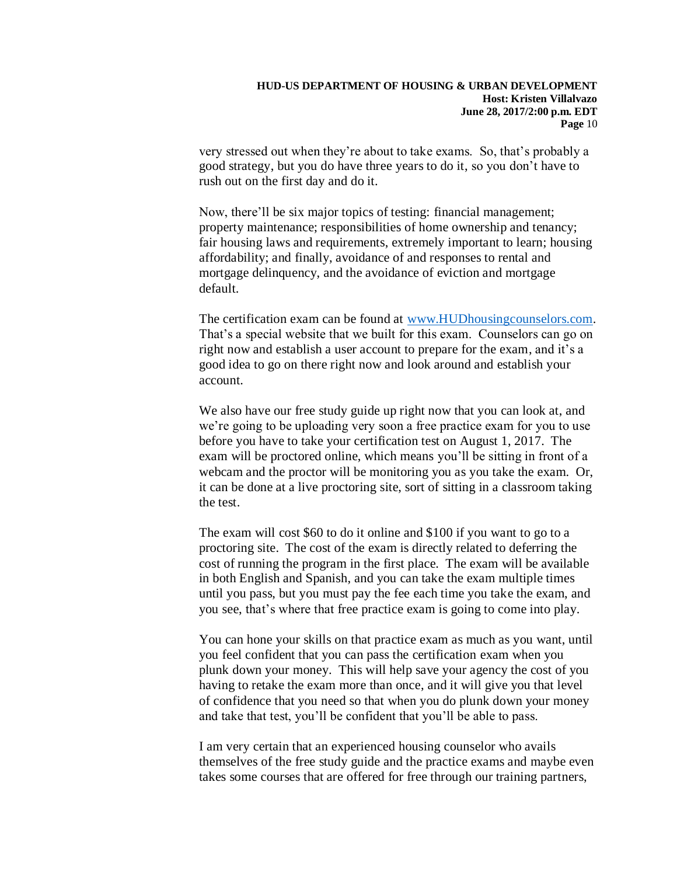very stressed out when they're about to take exams. So, that's probably a good strategy, but you do have three years to do it, so you don't have to rush out on the first day and do it.

Now, there'll be six major topics of testing: financial management; property maintenance; responsibilities of home ownership and tenancy; fair housing laws and requirements, extremely important to learn; housing affordability; and finally, avoidance of and responses to rental and mortgage delinquency, and the avoidance of eviction and mortgage default.

The certification exam can be found at [www.HUDhousingcounselors.com.](http://www.hudhousingcounselors.com/) That's a special website that we built for this exam. Counselors can go on right now and establish a user account to prepare for the exam, and it's a good idea to go on there right now and look around and establish your account.

We also have our free study guide up right now that you can look at, and we're going to be uploading very soon a free practice exam for you to use before you have to take your certification test on August 1, 2017. The exam will be proctored online, which means you'll be sitting in front of a webcam and the proctor will be monitoring you as you take the exam. Or, it can be done at a live proctoring site, sort of sitting in a classroom taking the test.

The exam will cost \$60 to do it online and \$100 if you want to go to a proctoring site. The cost of the exam is directly related to deferring the cost of running the program in the first place. The exam will be available in both English and Spanish, and you can take the exam multiple times until you pass, but you must pay the fee each time you take the exam, and you see, that's where that free practice exam is going to come into play.

You can hone your skills on that practice exam as much as you want, until you feel confident that you can pass the certification exam when you plunk down your money. This will help save your agency the cost of you having to retake the exam more than once, and it will give you that level of confidence that you need so that when you do plunk down your money and take that test, you'll be confident that you'll be able to pass.

I am very certain that an experienced housing counselor who avails themselves of the free study guide and the practice exams and maybe even takes some courses that are offered for free through our training partners,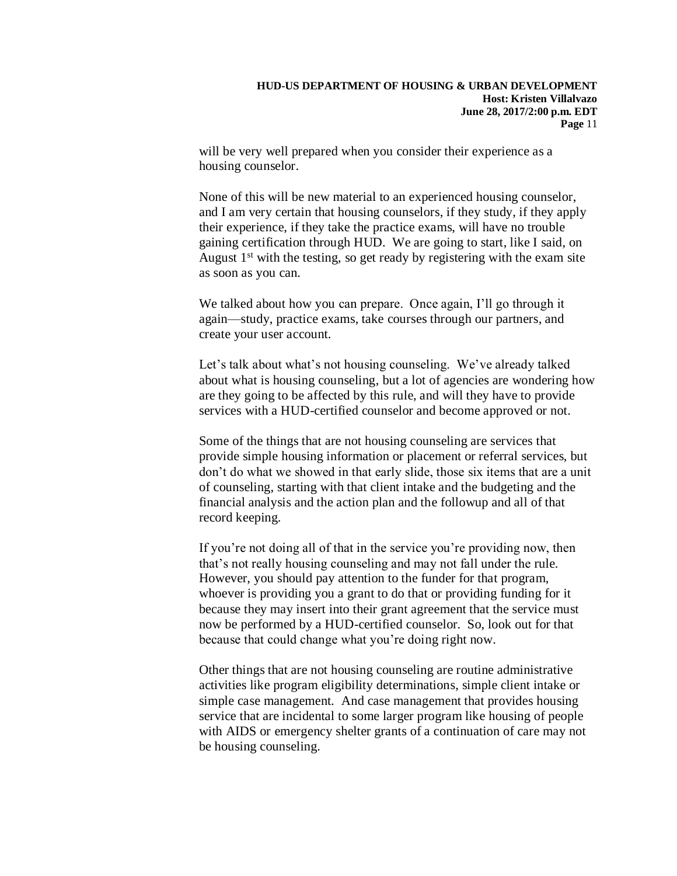will be very well prepared when you consider their experience as a housing counselor.

None of this will be new material to an experienced housing counselor, and I am very certain that housing counselors, if they study, if they apply their experience, if they take the practice exams, will have no trouble gaining certification through HUD. We are going to start, like I said, on August  $1<sup>st</sup>$  with the testing, so get ready by registering with the exam site as soon as you can.

We talked about how you can prepare. Once again, I'll go through it again—study, practice exams, take courses through our partners, and create your user account.

Let's talk about what's not housing counseling. We've already talked about what is housing counseling, but a lot of agencies are wondering how are they going to be affected by this rule, and will they have to provide services with a HUD-certified counselor and become approved or not.

Some of the things that are not housing counseling are services that provide simple housing information or placement or referral services, but don't do what we showed in that early slide, those six items that are a unit of counseling, starting with that client intake and the budgeting and the financial analysis and the action plan and the followup and all of that record keeping.

If you're not doing all of that in the service you're providing now, then that's not really housing counseling and may not fall under the rule. However, you should pay attention to the funder for that program, whoever is providing you a grant to do that or providing funding for it because they may insert into their grant agreement that the service must now be performed by a HUD-certified counselor. So, look out for that because that could change what you're doing right now.

Other things that are not housing counseling are routine administrative activities like program eligibility determinations, simple client intake or simple case management. And case management that provides housing service that are incidental to some larger program like housing of people with AIDS or emergency shelter grants of a continuation of care may not be housing counseling.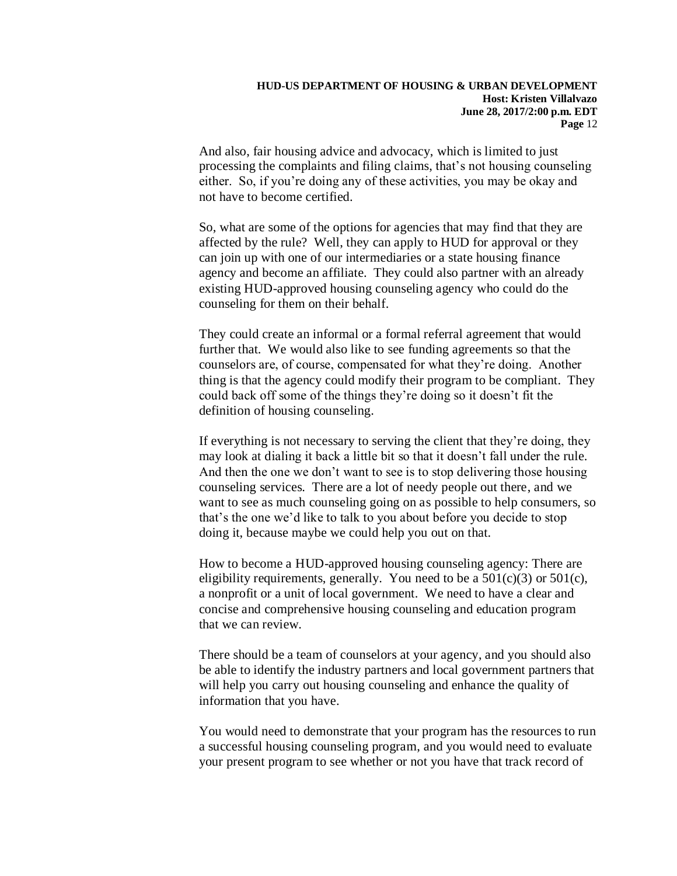And also, fair housing advice and advocacy, which is limited to just processing the complaints and filing claims, that's not housing counseling either. So, if you're doing any of these activities, you may be okay and not have to become certified.

So, what are some of the options for agencies that may find that they are affected by the rule? Well, they can apply to HUD for approval or they can join up with one of our intermediaries or a state housing finance agency and become an affiliate. They could also partner with an already existing HUD-approved housing counseling agency who could do the counseling for them on their behalf.

They could create an informal or a formal referral agreement that would further that. We would also like to see funding agreements so that the counselors are, of course, compensated for what they're doing. Another thing is that the agency could modify their program to be compliant. They could back off some of the things they're doing so it doesn't fit the definition of housing counseling.

If everything is not necessary to serving the client that they're doing, they may look at dialing it back a little bit so that it doesn't fall under the rule. And then the one we don't want to see is to stop delivering those housing counseling services. There are a lot of needy people out there, and we want to see as much counseling going on as possible to help consumers, so that's the one we'd like to talk to you about before you decide to stop doing it, because maybe we could help you out on that.

How to become a HUD-approved housing counseling agency: There are eligibility requirements, generally. You need to be a  $501(c)(3)$  or  $501(c)$ , a nonprofit or a unit of local government. We need to have a clear and concise and comprehensive housing counseling and education program that we can review.

There should be a team of counselors at your agency, and you should also be able to identify the industry partners and local government partners that will help you carry out housing counseling and enhance the quality of information that you have.

You would need to demonstrate that your program has the resources to run a successful housing counseling program, and you would need to evaluate your present program to see whether or not you have that track record of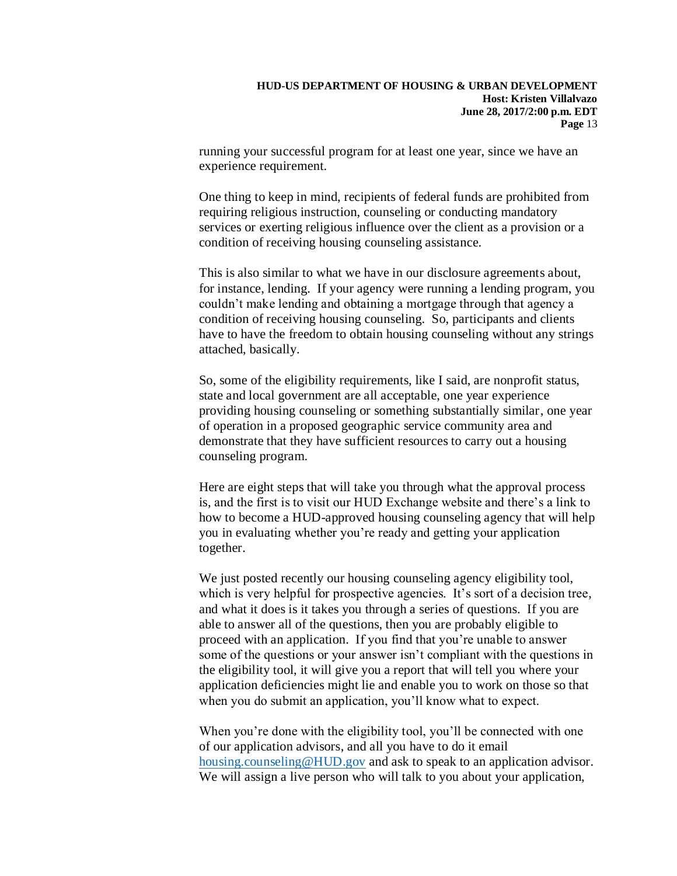running your successful program for at least one year, since we have an experience requirement.

One thing to keep in mind, recipients of federal funds are prohibited from requiring religious instruction, counseling or conducting mandatory services or exerting religious influence over the client as a provision or a condition of receiving housing counseling assistance.

This is also similar to what we have in our disclosure agreements about, for instance, lending. If your agency were running a lending program, you couldn't make lending and obtaining a mortgage through that agency a condition of receiving housing counseling. So, participants and clients have to have the freedom to obtain housing counseling without any strings attached, basically.

So, some of the eligibility requirements, like I said, are nonprofit status, state and local government are all acceptable, one year experience providing housing counseling or something substantially similar, one year of operation in a proposed geographic service community area and demonstrate that they have sufficient resources to carry out a housing counseling program.

Here are eight steps that will take you through what the approval process is, and the first is to visit our HUD Exchange website and there's a link to how to become a HUD-approved housing counseling agency that will help you in evaluating whether you're ready and getting your application together.

We just posted recently our housing counseling agency eligibility tool, which is very helpful for prospective agencies. It's sort of a decision tree, and what it does is it takes you through a series of questions. If you are able to answer all of the questions, then you are probably eligible to proceed with an application. If you find that you're unable to answer some of the questions or your answer isn't compliant with the questions in the eligibility tool, it will give you a report that will tell you where your application deficiencies might lie and enable you to work on those so that when you do submit an application, you'll know what to expect.

When you're done with the eligibility tool, you'll be connected with one of our application advisors, and all you have to do it email [housing.counseling@HUD.gov](mailto:housing.counseling@HUD.gov) and ask to speak to an application advisor. We will assign a live person who will talk to you about your application,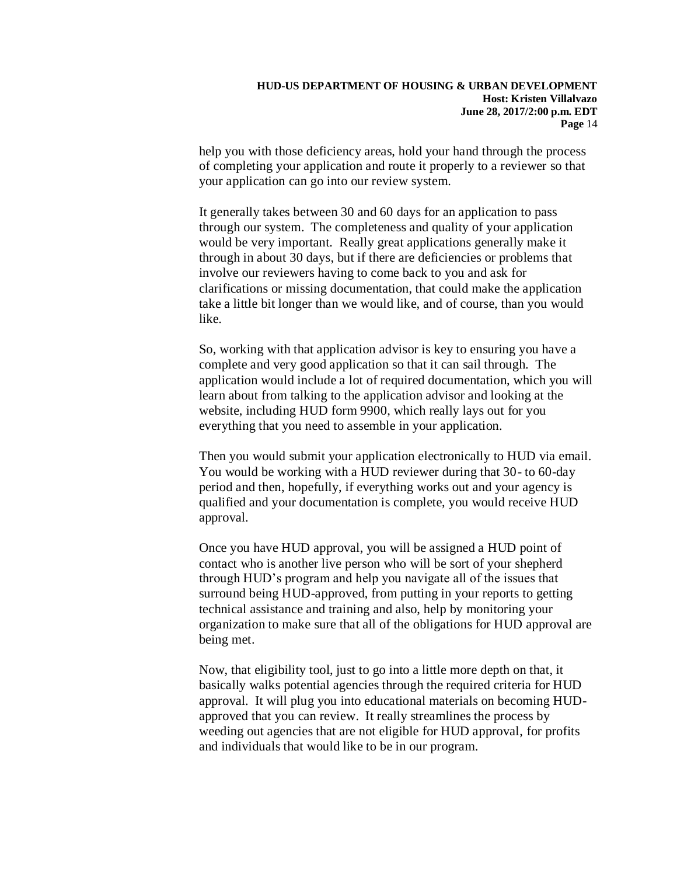help you with those deficiency areas, hold your hand through the process of completing your application and route it properly to a reviewer so that your application can go into our review system.

It generally takes between 30 and 60 days for an application to pass through our system. The completeness and quality of your application would be very important. Really great applications generally make it through in about 30 days, but if there are deficiencies or problems that involve our reviewers having to come back to you and ask for clarifications or missing documentation, that could make the application take a little bit longer than we would like, and of course, than you would like.

So, working with that application advisor is key to ensuring you have a complete and very good application so that it can sail through. The application would include a lot of required documentation, which you will learn about from talking to the application advisor and looking at the website, including HUD form 9900, which really lays out for you everything that you need to assemble in your application.

Then you would submit your application electronically to HUD via email. You would be working with a HUD reviewer during that 30- to 60-day period and then, hopefully, if everything works out and your agency is qualified and your documentation is complete, you would receive HUD approval.

Once you have HUD approval, you will be assigned a HUD point of contact who is another live person who will be sort of your shepherd through HUD's program and help you navigate all of the issues that surround being HUD-approved, from putting in your reports to getting technical assistance and training and also, help by monitoring your organization to make sure that all of the obligations for HUD approval are being met.

Now, that eligibility tool, just to go into a little more depth on that, it basically walks potential agencies through the required criteria for HUD approval. It will plug you into educational materials on becoming HUDapproved that you can review. It really streamlines the process by weeding out agencies that are not eligible for HUD approval, for profits and individuals that would like to be in our program.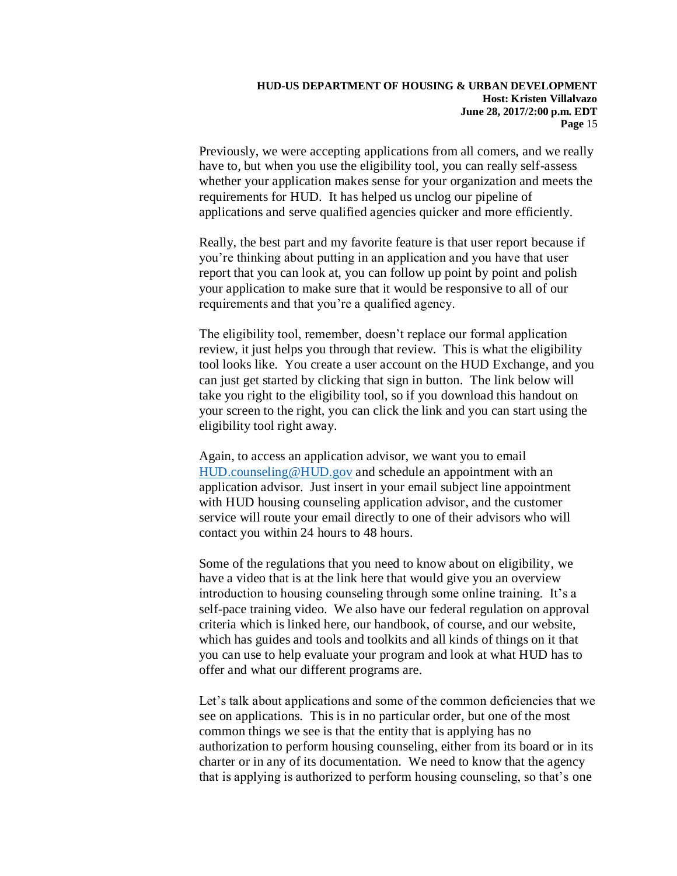Previously, we were accepting applications from all comers, and we really have to, but when you use the eligibility tool, you can really self-assess whether your application makes sense for your organization and meets the requirements for HUD. It has helped us unclog our pipeline of applications and serve qualified agencies quicker and more efficiently.

Really, the best part and my favorite feature is that user report because if you're thinking about putting in an application and you have that user report that you can look at, you can follow up point by point and polish your application to make sure that it would be responsive to all of our requirements and that you're a qualified agency.

The eligibility tool, remember, doesn't replace our formal application review, it just helps you through that review. This is what the eligibility tool looks like. You create a user account on the HUD Exchange, and you can just get started by clicking that sign in button. The link below will take you right to the eligibility tool, so if you download this handout on your screen to the right, you can click the link and you can start using the eligibility tool right away.

Again, to access an application advisor, we want you to email [HUD.counseling@HUD.gov](mailto:HUD.counseling@HUD.gov) and schedule an appointment with an application advisor. Just insert in your email subject line appointment with HUD housing counseling application advisor, and the customer service will route your email directly to one of their advisors who will contact you within 24 hours to 48 hours.

Some of the regulations that you need to know about on eligibility, we have a video that is at the link here that would give you an overview introduction to housing counseling through some online training. It's a self-pace training video. We also have our federal regulation on approval criteria which is linked here, our handbook, of course, and our website, which has guides and tools and toolkits and all kinds of things on it that you can use to help evaluate your program and look at what HUD has to offer and what our different programs are.

Let's talk about applications and some of the common deficiencies that we see on applications. This is in no particular order, but one of the most common things we see is that the entity that is applying has no authorization to perform housing counseling, either from its board or in its charter or in any of its documentation. We need to know that the agency that is applying is authorized to perform housing counseling, so that's one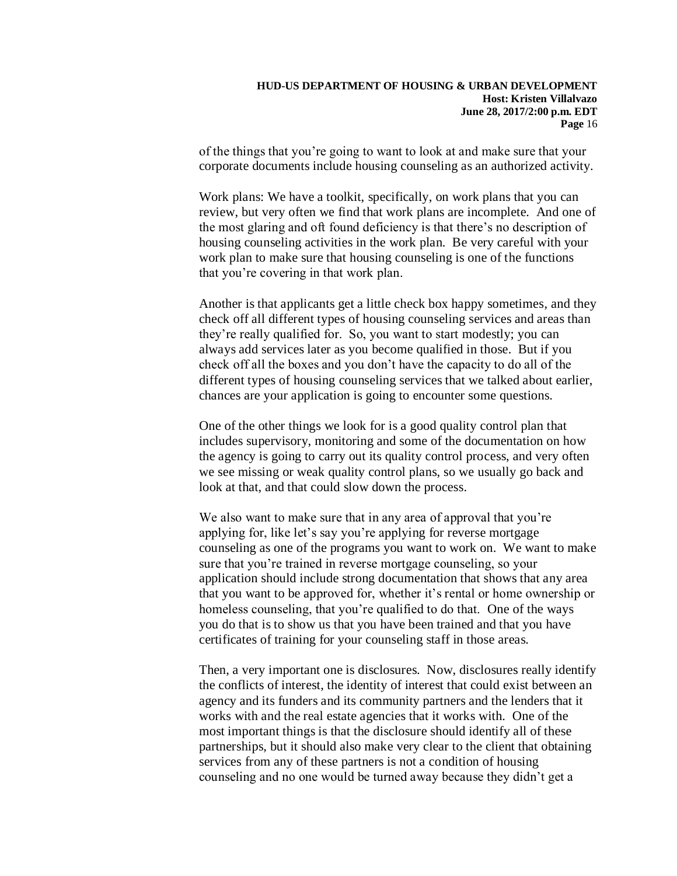of the things that you're going to want to look at and make sure that your corporate documents include housing counseling as an authorized activity.

Work plans: We have a toolkit, specifically, on work plans that you can review, but very often we find that work plans are incomplete. And one of the most glaring and oft found deficiency is that there's no description of housing counseling activities in the work plan. Be very careful with your work plan to make sure that housing counseling is one of the functions that you're covering in that work plan.

Another is that applicants get a little check box happy sometimes, and they check off all different types of housing counseling services and areas than they're really qualified for. So, you want to start modestly; you can always add services later as you become qualified in those. But if you check off all the boxes and you don't have the capacity to do all of the different types of housing counseling services that we talked about earlier, chances are your application is going to encounter some questions.

One of the other things we look for is a good quality control plan that includes supervisory, monitoring and some of the documentation on how the agency is going to carry out its quality control process, and very often we see missing or weak quality control plans, so we usually go back and look at that, and that could slow down the process.

We also want to make sure that in any area of approval that you're applying for, like let's say you're applying for reverse mortgage counseling as one of the programs you want to work on. We want to make sure that you're trained in reverse mortgage counseling, so your application should include strong documentation that shows that any area that you want to be approved for, whether it's rental or home ownership or homeless counseling, that you're qualified to do that. One of the ways you do that is to show us that you have been trained and that you have certificates of training for your counseling staff in those areas.

Then, a very important one is disclosures. Now, disclosures really identify the conflicts of interest, the identity of interest that could exist between an agency and its funders and its community partners and the lenders that it works with and the real estate agencies that it works with. One of the most important things is that the disclosure should identify all of these partnerships, but it should also make very clear to the client that obtaining services from any of these partners is not a condition of housing counseling and no one would be turned away because they didn't get a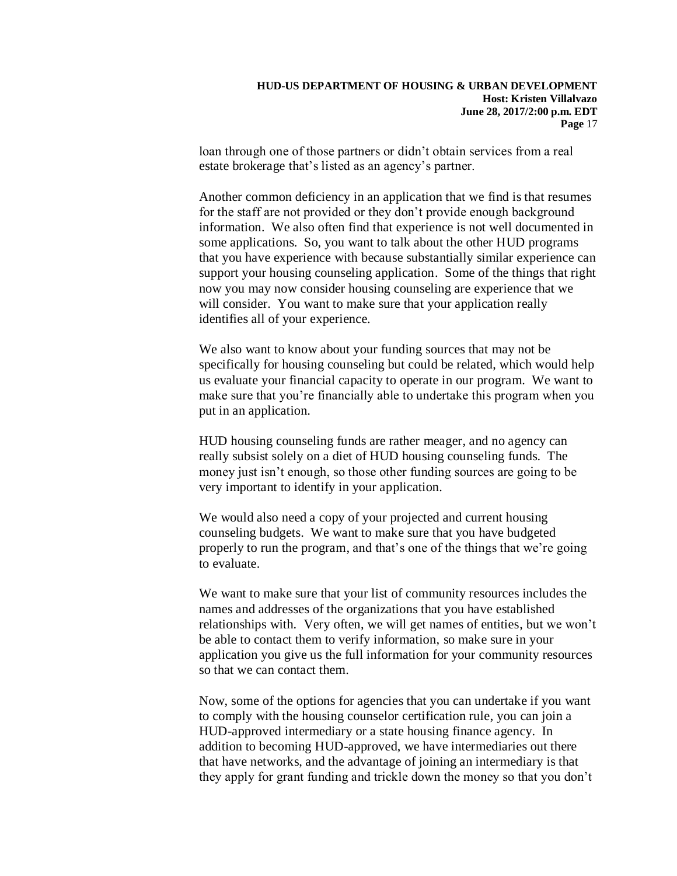loan through one of those partners or didn't obtain services from a real estate brokerage that's listed as an agency's partner.

Another common deficiency in an application that we find is that resumes for the staff are not provided or they don't provide enough background information. We also often find that experience is not well documented in some applications. So, you want to talk about the other HUD programs that you have experience with because substantially similar experience can support your housing counseling application. Some of the things that right now you may now consider housing counseling are experience that we will consider. You want to make sure that your application really identifies all of your experience.

We also want to know about your funding sources that may not be. specifically for housing counseling but could be related, which would help us evaluate your financial capacity to operate in our program. We want to make sure that you're financially able to undertake this program when you put in an application.

HUD housing counseling funds are rather meager, and no agency can really subsist solely on a diet of HUD housing counseling funds. The money just isn't enough, so those other funding sources are going to be very important to identify in your application.

We would also need a copy of your projected and current housing counseling budgets. We want to make sure that you have budgeted properly to run the program, and that's one of the things that we're going to evaluate.

We want to make sure that your list of community resources includes the names and addresses of the organizations that you have established relationships with. Very often, we will get names of entities, but we won't be able to contact them to verify information, so make sure in your application you give us the full information for your community resources so that we can contact them.

Now, some of the options for agencies that you can undertake if you want to comply with the housing counselor certification rule, you can join a HUD-approved intermediary or a state housing finance agency. In addition to becoming HUD-approved, we have intermediaries out there that have networks, and the advantage of joining an intermediary is that they apply for grant funding and trickle down the money so that you don't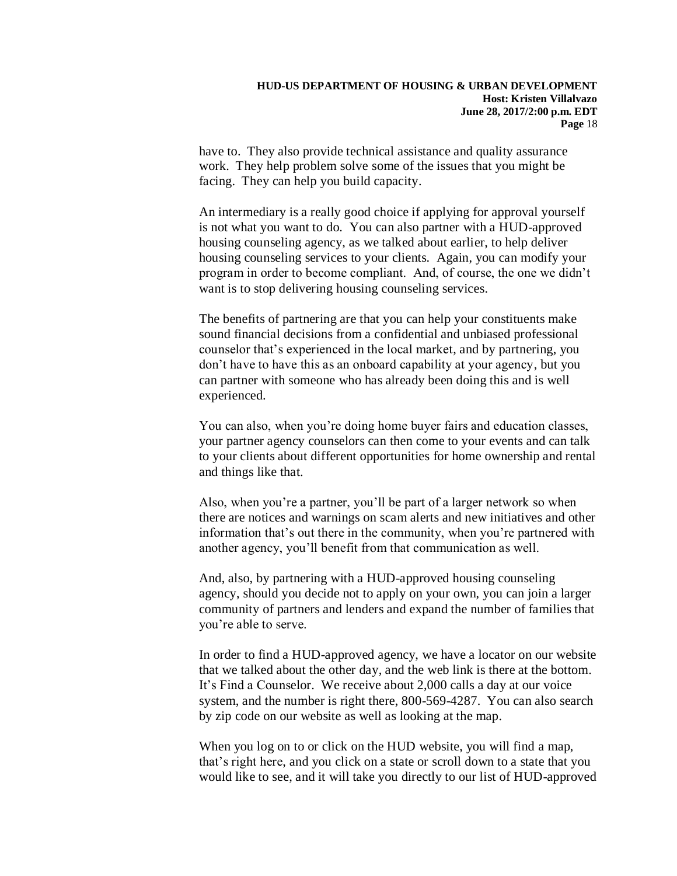have to. They also provide technical assistance and quality assurance work. They help problem solve some of the issues that you might be facing. They can help you build capacity.

An intermediary is a really good choice if applying for approval yourself is not what you want to do. You can also partner with a HUD-approved housing counseling agency, as we talked about earlier, to help deliver housing counseling services to your clients. Again, you can modify your program in order to become compliant. And, of course, the one we didn't want is to stop delivering housing counseling services.

The benefits of partnering are that you can help your constituents make sound financial decisions from a confidential and unbiased professional counselor that's experienced in the local market, and by partnering, you don't have to have this as an onboard capability at your agency, but you can partner with someone who has already been doing this and is well experienced.

You can also, when you're doing home buyer fairs and education classes, your partner agency counselors can then come to your events and can talk to your clients about different opportunities for home ownership and rental and things like that.

Also, when you're a partner, you'll be part of a larger network so when there are notices and warnings on scam alerts and new initiatives and other information that's out there in the community, when you're partnered with another agency, you'll benefit from that communication as well.

And, also, by partnering with a HUD-approved housing counseling agency, should you decide not to apply on your own, you can join a larger community of partners and lenders and expand the number of families that you're able to serve.

In order to find a HUD-approved agency, we have a locator on our website that we talked about the other day, and the web link is there at the bottom. It's Find a Counselor. We receive about 2,000 calls a day at our voice system, and the number is right there, 800-569-4287. You can also search by zip code on our website as well as looking at the map.

When you log on to or click on the HUD website, you will find a map, that's right here, and you click on a state or scroll down to a state that you would like to see, and it will take you directly to our list of HUD-approved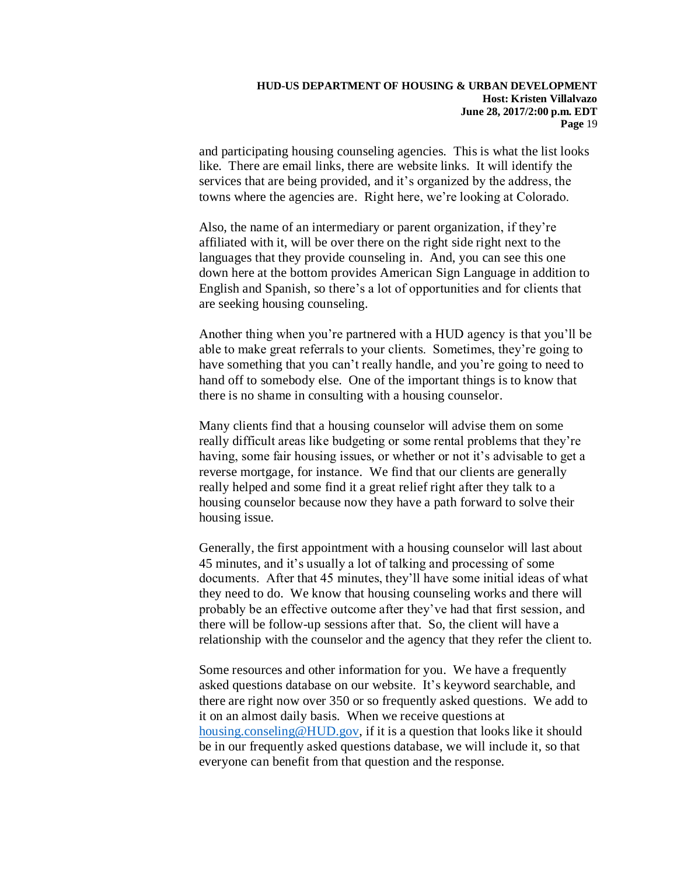and participating housing counseling agencies. This is what the list looks like. There are email links, there are website links. It will identify the services that are being provided, and it's organized by the address, the towns where the agencies are. Right here, we're looking at Colorado.

Also, the name of an intermediary or parent organization, if they're affiliated with it, will be over there on the right side right next to the languages that they provide counseling in. And, you can see this one down here at the bottom provides American Sign Language in addition to English and Spanish, so there's a lot of opportunities and for clients that are seeking housing counseling.

Another thing when you're partnered with a HUD agency is that you'll be able to make great referrals to your clients. Sometimes, they're going to have something that you can't really handle, and you're going to need to hand off to somebody else. One of the important things is to know that there is no shame in consulting with a housing counselor.

Many clients find that a housing counselor will advise them on some really difficult areas like budgeting or some rental problems that they're having, some fair housing issues, or whether or not it's advisable to get a reverse mortgage, for instance. We find that our clients are generally really helped and some find it a great relief right after they talk to a housing counselor because now they have a path forward to solve their housing issue.

Generally, the first appointment with a housing counselor will last about 45 minutes, and it's usually a lot of talking and processing of some documents. After that 45 minutes, they'll have some initial ideas of what they need to do. We know that housing counseling works and there will probably be an effective outcome after they've had that first session, and there will be follow-up sessions after that. So, the client will have a relationship with the counselor and the agency that they refer the client to.

Some resources and other information for you. We have a frequently asked questions database on our website. It's keyword searchable, and there are right now over 350 or so frequently asked questions. We add to it on an almost daily basis. When we receive questions at [housing.conseling@HUD.gov,](mailto:housing.conseling@HUD.gov) if it is a question that looks like it should be in our frequently asked questions database, we will include it, so that everyone can benefit from that question and the response.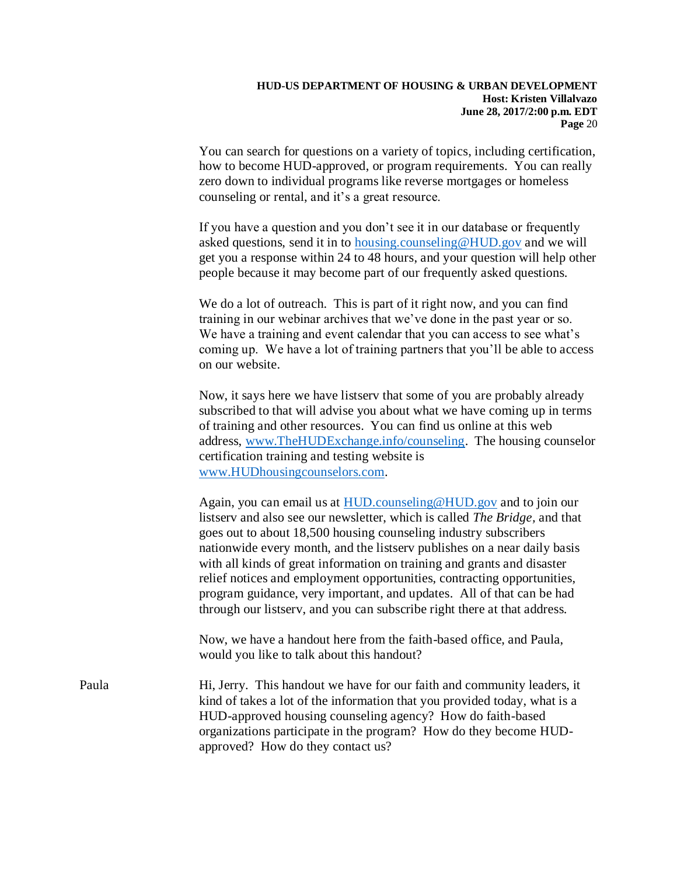You can search for questions on a variety of topics, including certification, how to become HUD-approved, or program requirements. You can really zero down to individual programs like reverse mortgages or homeless counseling or rental, and it's a great resource.

If you have a question and you don't see it in our database or frequently asked questions, send it in to [housing.counseling@HUD.gov](mailto:housing.counseling@HUD.gov) and we will get you a response within 24 to 48 hours, and your question will help other people because it may become part of our frequently asked questions.

We do a lot of outreach. This is part of it right now, and you can find training in our webinar archives that we've done in the past year or so. We have a training and event calendar that you can access to see what's coming up. We have a lot of training partners that you'll be able to access on our website.

Now, it says here we have listserv that some of you are probably already subscribed to that will advise you about what we have coming up in terms of training and other resources. You can find us online at this web address, [www.TheHUDExchange.info/counseling.](http://www.thehudexchange.info/counseling) The housing counselor certification training and testing website is [www.HUDhousingcounselors.com.](http://www.hudhousingcounselors.com/)

Again, you can email us at [HUD.counseling@HUD.gov](mailto:HUD.counseling@HUD.gov) and to join our listserv and also see our newsletter, which is called *The Bridge,* and that goes out to about 18,500 housing counseling industry subscribers nationwide every month, and the listserv publishes on a near daily basis with all kinds of great information on training and grants and disaster relief notices and employment opportunities, contracting opportunities, program guidance, very important, and updates. All of that can be had through our listserv, and you can subscribe right there at that address.

Now, we have a handout here from the faith-based office, and Paula, would you like to talk about this handout?

Paula Hi, Jerry. This handout we have for our faith and community leaders, it kind of takes a lot of the information that you provided today, what is a HUD-approved housing counseling agency? How do faith-based organizations participate in the program? How do they become HUDapproved? How do they contact us?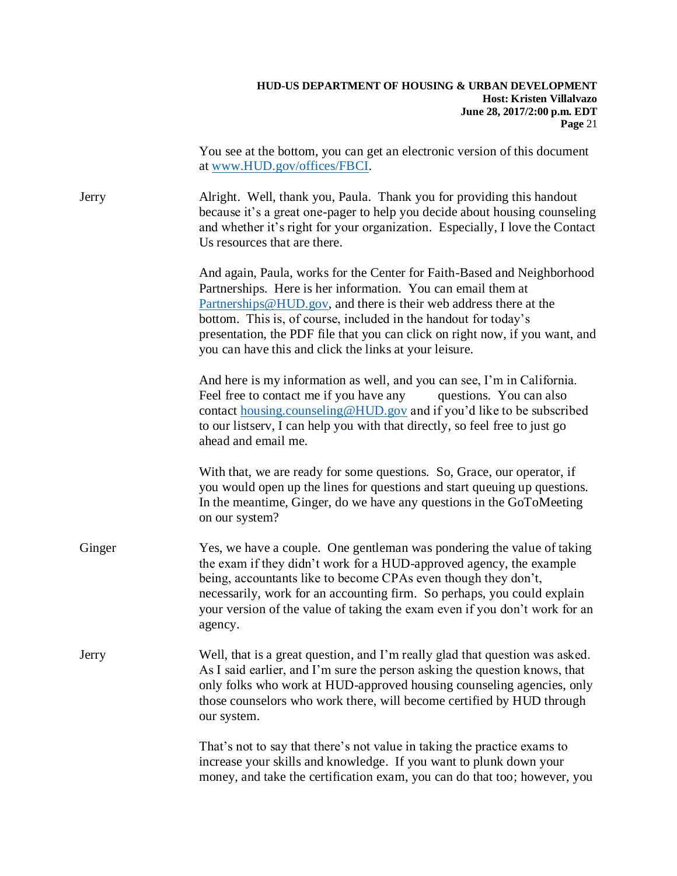|        | You see at the bottom, you can get an electronic version of this document<br>at www.HUD.gov/offices/FBCI.                                                                                                                                                                                                                                                                                                                 |
|--------|---------------------------------------------------------------------------------------------------------------------------------------------------------------------------------------------------------------------------------------------------------------------------------------------------------------------------------------------------------------------------------------------------------------------------|
| Jerry  | Alright. Well, thank you, Paula. Thank you for providing this handout<br>because it's a great one-pager to help you decide about housing counseling<br>and whether it's right for your organization. Especially, I love the Contact<br>Us resources that are there.                                                                                                                                                       |
|        | And again, Paula, works for the Center for Faith-Based and Neighborhood<br>Partnerships. Here is her information. You can email them at<br>Partnerships@HUD.gov, and there is their web address there at the<br>bottom. This is, of course, included in the handout for today's<br>presentation, the PDF file that you can click on right now, if you want, and<br>you can have this and click the links at your leisure. |
|        | And here is my information as well, and you can see, I'm in California.<br>Feel free to contact me if you have any<br>questions. You can also<br>contact housing.counseling@HUD.gov and if you'd like to be subscribed<br>to our listserv, I can help you with that directly, so feel free to just go<br>ahead and email me.                                                                                              |
|        | With that, we are ready for some questions. So, Grace, our operator, if<br>you would open up the lines for questions and start queuing up questions.<br>In the meantime, Ginger, do we have any questions in the GoToMeeting<br>on our system?                                                                                                                                                                            |
| Ginger | Yes, we have a couple. One gentleman was pondering the value of taking<br>the exam if they didn't work for a HUD-approved agency, the example<br>being, accountants like to become CPAs even though they don't,<br>necessarily, work for an accounting firm. So perhaps, you could explain<br>your version of the value of taking the exam even if you don't work for an<br>agency.                                       |
| Jerry  | Well, that is a great question, and I'm really glad that question was asked.<br>As I said earlier, and I'm sure the person asking the question knows, that<br>only folks who work at HUD-approved housing counseling agencies, only<br>those counselors who work there, will become certified by HUD through<br>our system.                                                                                               |
|        | That's not to say that there's not value in taking the practice exams to<br>increase your skills and knowledge. If you want to plunk down your<br>money, and take the certification exam, you can do that too; however, you                                                                                                                                                                                               |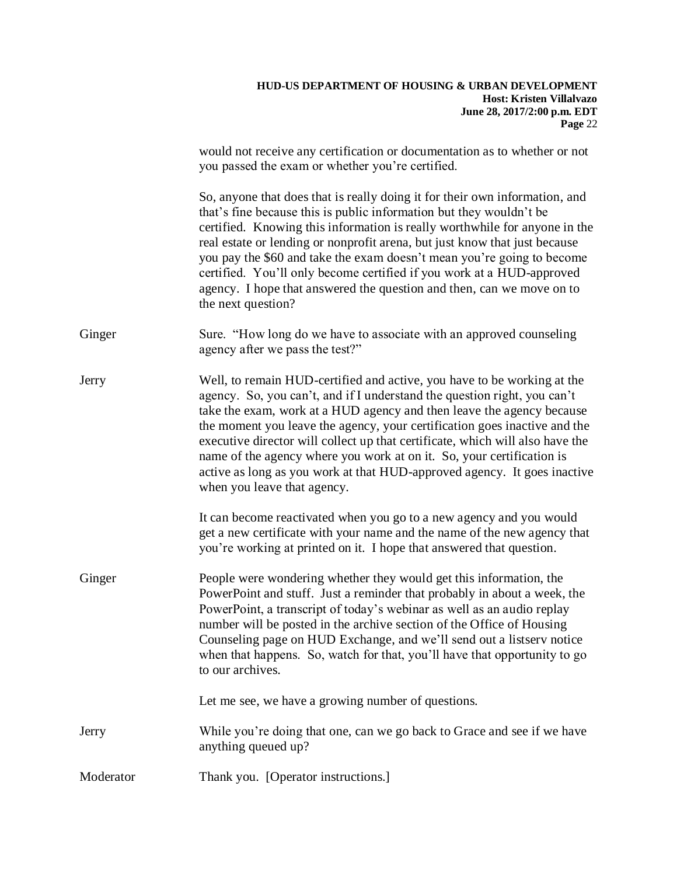|           | would not receive any certification or documentation as to whether or not<br>you passed the exam or whether you're certified.                                                                                                                                                                                                                                                                                                                                                                                                                                                  |
|-----------|--------------------------------------------------------------------------------------------------------------------------------------------------------------------------------------------------------------------------------------------------------------------------------------------------------------------------------------------------------------------------------------------------------------------------------------------------------------------------------------------------------------------------------------------------------------------------------|
|           | So, anyone that does that is really doing it for their own information, and<br>that's fine because this is public information but they wouldn't be<br>certified. Knowing this information is really worthwhile for anyone in the<br>real estate or lending or nonprofit arena, but just know that just because<br>you pay the \$60 and take the exam doesn't mean you're going to become<br>certified. You'll only become certified if you work at a HUD-approved<br>agency. I hope that answered the question and then, can we move on to<br>the next question?               |
| Ginger    | Sure. "How long do we have to associate with an approved counseling<br>agency after we pass the test?"                                                                                                                                                                                                                                                                                                                                                                                                                                                                         |
| Jerry     | Well, to remain HUD-certified and active, you have to be working at the<br>agency. So, you can't, and if I understand the question right, you can't<br>take the exam, work at a HUD agency and then leave the agency because<br>the moment you leave the agency, your certification goes inactive and the<br>executive director will collect up that certificate, which will also have the<br>name of the agency where you work at on it. So, your certification is<br>active as long as you work at that HUD-approved agency. It goes inactive<br>when you leave that agency. |
|           | It can become reactivated when you go to a new agency and you would<br>get a new certificate with your name and the name of the new agency that<br>you're working at printed on it. I hope that answered that question.                                                                                                                                                                                                                                                                                                                                                        |
| Ginger    | People were wondering whether they would get this information, the<br>PowerPoint and stuff. Just a reminder that probably in about a week, the<br>PowerPoint, a transcript of today's webinar as well as an audio replay<br>number will be posted in the archive section of the Office of Housing<br>Counseling page on HUD Exchange, and we'll send out a listserv notice<br>when that happens. So, watch for that, you'll have that opportunity to go<br>to our archives.                                                                                                    |
|           | Let me see, we have a growing number of questions.                                                                                                                                                                                                                                                                                                                                                                                                                                                                                                                             |
| Jerry     | While you're doing that one, can we go back to Grace and see if we have<br>anything queued up?                                                                                                                                                                                                                                                                                                                                                                                                                                                                                 |
| Moderator | Thank you. [Operator instructions.]                                                                                                                                                                                                                                                                                                                                                                                                                                                                                                                                            |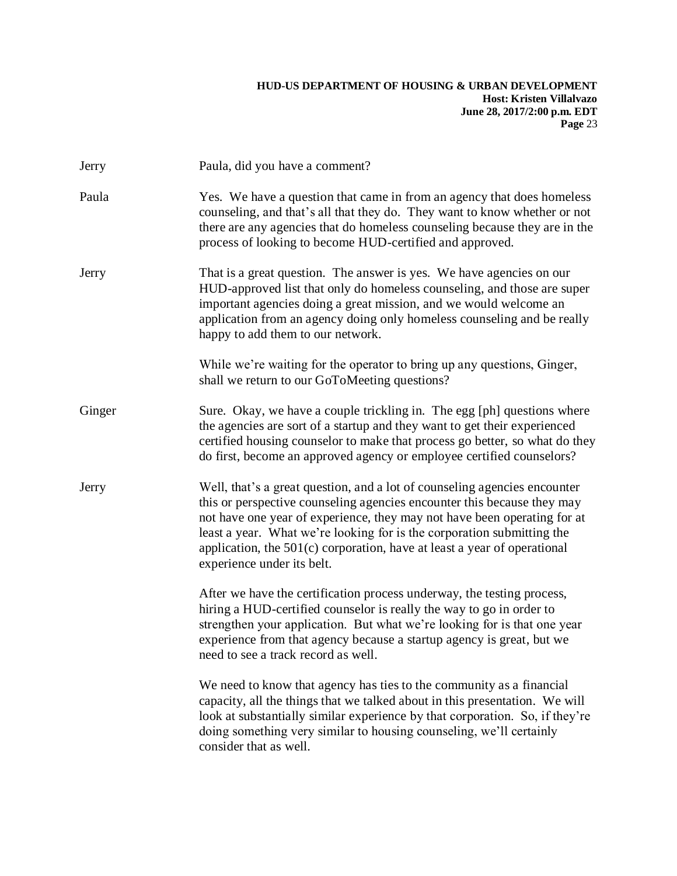| Jerry  | Paula, did you have a comment?                                                                                                                                                                                                                                                                                                                                                                                         |
|--------|------------------------------------------------------------------------------------------------------------------------------------------------------------------------------------------------------------------------------------------------------------------------------------------------------------------------------------------------------------------------------------------------------------------------|
| Paula  | Yes. We have a question that came in from an agency that does homeless<br>counseling, and that's all that they do. They want to know whether or not<br>there are any agencies that do homeless counseling because they are in the<br>process of looking to become HUD-certified and approved.                                                                                                                          |
| Jerry  | That is a great question. The answer is yes. We have agencies on our<br>HUD-approved list that only do homeless counseling, and those are super<br>important agencies doing a great mission, and we would welcome an<br>application from an agency doing only homeless counseling and be really<br>happy to add them to our network.                                                                                   |
|        | While we're waiting for the operator to bring up any questions, Ginger,<br>shall we return to our GoToMeeting questions?                                                                                                                                                                                                                                                                                               |
| Ginger | Sure. Okay, we have a couple trickling in. The egg [ph] questions where<br>the agencies are sort of a startup and they want to get their experienced<br>certified housing counselor to make that process go better, so what do they<br>do first, become an approved agency or employee certified counselors?                                                                                                           |
| Jerry  | Well, that's a great question, and a lot of counseling agencies encounter<br>this or perspective counseling agencies encounter this because they may<br>not have one year of experience, they may not have been operating for at<br>least a year. What we're looking for is the corporation submitting the<br>application, the $501(c)$ corporation, have at least a year of operational<br>experience under its belt. |
|        | After we have the certification process underway, the testing process,<br>hiring a HUD-certified counselor is really the way to go in order to<br>strengthen your application. But what we're looking for is that one year<br>experience from that agency because a startup agency is great, but we<br>need to see a track record as well.                                                                             |
|        | We need to know that agency has ties to the community as a financial<br>capacity, all the things that we talked about in this presentation. We will<br>look at substantially similar experience by that corporation. So, if they're<br>doing something very similar to housing counseling, we'll certainly<br>consider that as well.                                                                                   |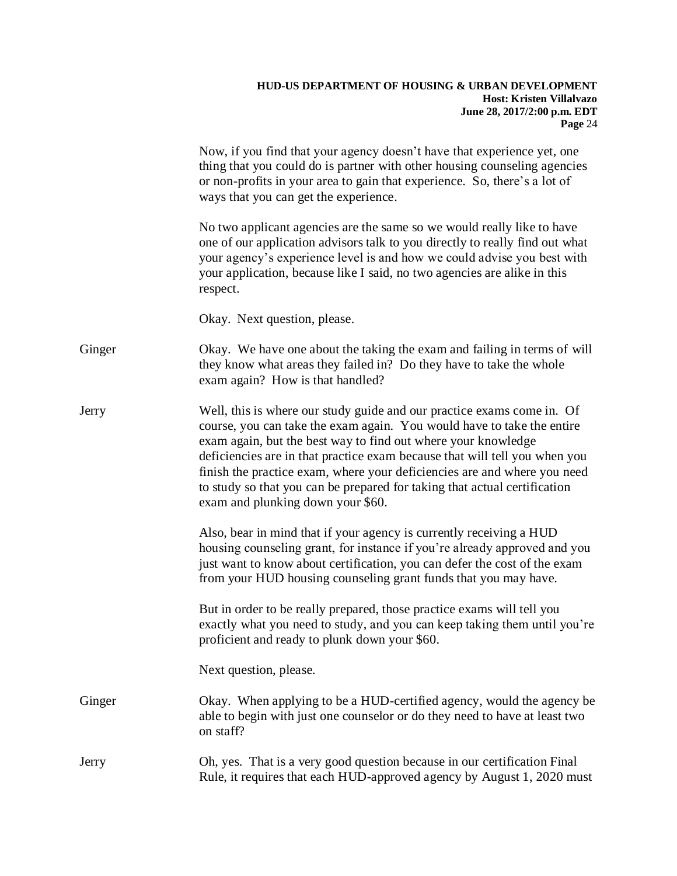|        | Now, if you find that your agency doesn't have that experience yet, one<br>thing that you could do is partner with other housing counseling agencies<br>or non-profits in your area to gain that experience. So, there's a lot of<br>ways that you can get the experience.                                                                                                                                                                                                                    |
|--------|-----------------------------------------------------------------------------------------------------------------------------------------------------------------------------------------------------------------------------------------------------------------------------------------------------------------------------------------------------------------------------------------------------------------------------------------------------------------------------------------------|
|        | No two applicant agencies are the same so we would really like to have<br>one of our application advisors talk to you directly to really find out what<br>your agency's experience level is and how we could advise you best with<br>your application, because like I said, no two agencies are alike in this<br>respect.                                                                                                                                                                     |
|        | Okay. Next question, please.                                                                                                                                                                                                                                                                                                                                                                                                                                                                  |
| Ginger | Okay. We have one about the taking the exam and failing in terms of will<br>they know what areas they failed in? Do they have to take the whole<br>exam again? How is that handled?                                                                                                                                                                                                                                                                                                           |
| Jerry  | Well, this is where our study guide and our practice exams come in. Of<br>course, you can take the exam again. You would have to take the entire<br>exam again, but the best way to find out where your knowledge<br>deficiencies are in that practice exam because that will tell you when you<br>finish the practice exam, where your deficiencies are and where you need<br>to study so that you can be prepared for taking that actual certification<br>exam and plunking down your \$60. |
|        | Also, bear in mind that if your agency is currently receiving a HUD<br>housing counseling grant, for instance if you're already approved and you<br>just want to know about certification, you can defer the cost of the exam<br>from your HUD housing counseling grant funds that you may have.                                                                                                                                                                                              |
|        | But in order to be really prepared, those practice exams will tell you<br>exactly what you need to study, and you can keep taking them until you're<br>proficient and ready to plunk down your \$60.                                                                                                                                                                                                                                                                                          |
|        | Next question, please.                                                                                                                                                                                                                                                                                                                                                                                                                                                                        |
| Ginger | Okay. When applying to be a HUD-certified agency, would the agency be<br>able to begin with just one counselor or do they need to have at least two<br>on staff?                                                                                                                                                                                                                                                                                                                              |
| Jerry  | Oh, yes. That is a very good question because in our certification Final<br>Rule, it requires that each HUD-approved agency by August 1, 2020 must                                                                                                                                                                                                                                                                                                                                            |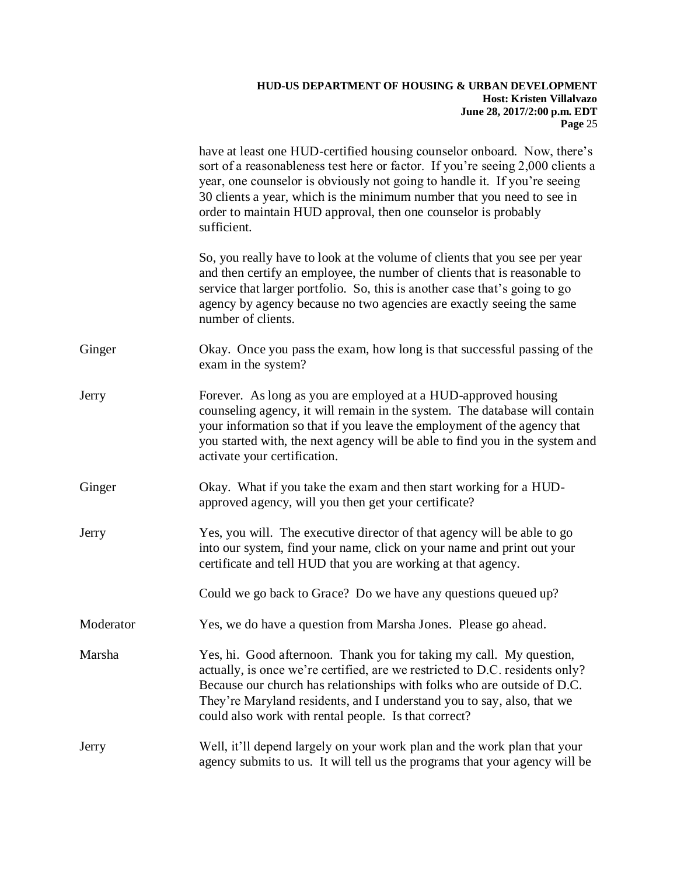|           | have at least one HUD-certified housing counselor onboard. Now, there's<br>sort of a reasonableness test here or factor. If you're seeing 2,000 clients a<br>year, one counselor is obviously not going to handle it. If you're seeing<br>30 clients a year, which is the minimum number that you need to see in<br>order to maintain HUD approval, then one counselor is probably<br>sufficient. |
|-----------|---------------------------------------------------------------------------------------------------------------------------------------------------------------------------------------------------------------------------------------------------------------------------------------------------------------------------------------------------------------------------------------------------|
|           | So, you really have to look at the volume of clients that you see per year<br>and then certify an employee, the number of clients that is reasonable to<br>service that larger portfolio. So, this is another case that's going to go<br>agency by agency because no two agencies are exactly seeing the same<br>number of clients.                                                               |
| Ginger    | Okay. Once you pass the exam, how long is that successful passing of the<br>exam in the system?                                                                                                                                                                                                                                                                                                   |
| Jerry     | Forever. As long as you are employed at a HUD-approved housing<br>counseling agency, it will remain in the system. The database will contain<br>your information so that if you leave the employment of the agency that<br>you started with, the next agency will be able to find you in the system and<br>activate your certification.                                                           |
| Ginger    | Okay. What if you take the exam and then start working for a HUD-<br>approved agency, will you then get your certificate?                                                                                                                                                                                                                                                                         |
| Jerry     | Yes, you will. The executive director of that agency will be able to go<br>into our system, find your name, click on your name and print out your<br>certificate and tell HUD that you are working at that agency.                                                                                                                                                                                |
|           | Could we go back to Grace? Do we have any questions queued up?                                                                                                                                                                                                                                                                                                                                    |
| Moderator | Yes, we do have a question from Marsha Jones. Please go ahead.                                                                                                                                                                                                                                                                                                                                    |
| Marsha    | Yes, hi. Good afternoon. Thank you for taking my call. My question,<br>actually, is once we're certified, are we restricted to D.C. residents only?<br>Because our church has relationships with folks who are outside of D.C.<br>They're Maryland residents, and I understand you to say, also, that we<br>could also work with rental people. Is that correct?                                  |
| Jerry     | Well, it'll depend largely on your work plan and the work plan that your<br>agency submits to us. It will tell us the programs that your agency will be                                                                                                                                                                                                                                           |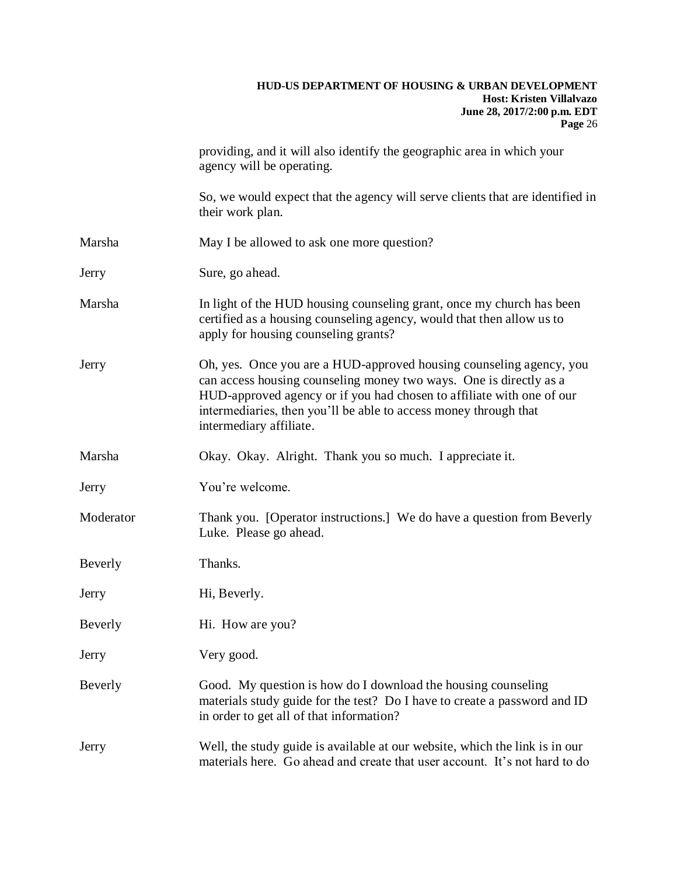|           | providing, and it will also identify the geographic area in which your<br>agency will be operating.                                                                                                                                                                                                               |
|-----------|-------------------------------------------------------------------------------------------------------------------------------------------------------------------------------------------------------------------------------------------------------------------------------------------------------------------|
|           | So, we would expect that the agency will serve clients that are identified in<br>their work plan.                                                                                                                                                                                                                 |
| Marsha    | May I be allowed to ask one more question?                                                                                                                                                                                                                                                                        |
| Jerry     | Sure, go ahead.                                                                                                                                                                                                                                                                                                   |
| Marsha    | In light of the HUD housing counseling grant, once my church has been<br>certified as a housing counseling agency, would that then allow us to<br>apply for housing counseling grants?                                                                                                                            |
| Jerry     | Oh, yes. Once you are a HUD-approved housing counseling agency, you<br>can access housing counseling money two ways. One is directly as a<br>HUD-approved agency or if you had chosen to affiliate with one of our<br>intermediaries, then you'll be able to access money through that<br>intermediary affiliate. |
| Marsha    | Okay. Okay. Alright. Thank you so much. I appreciate it.                                                                                                                                                                                                                                                          |
| Jerry     | You're welcome.                                                                                                                                                                                                                                                                                                   |
| Moderator | Thank you. [Operator instructions.] We do have a question from Beverly<br>Luke. Please go ahead.                                                                                                                                                                                                                  |
| Beverly   | Thanks.                                                                                                                                                                                                                                                                                                           |
| Jerry     | Hi, Beverly.                                                                                                                                                                                                                                                                                                      |
| Beverly   | Hi. How are you?                                                                                                                                                                                                                                                                                                  |
| Jerry     | Very good.                                                                                                                                                                                                                                                                                                        |
| Beverly   | Good. My question is how do I download the housing counseling<br>materials study guide for the test? Do I have to create a password and ID<br>in order to get all of that information?                                                                                                                            |
| Jerry     | Well, the study guide is available at our website, which the link is in our<br>materials here. Go ahead and create that user account. It's not hard to do                                                                                                                                                         |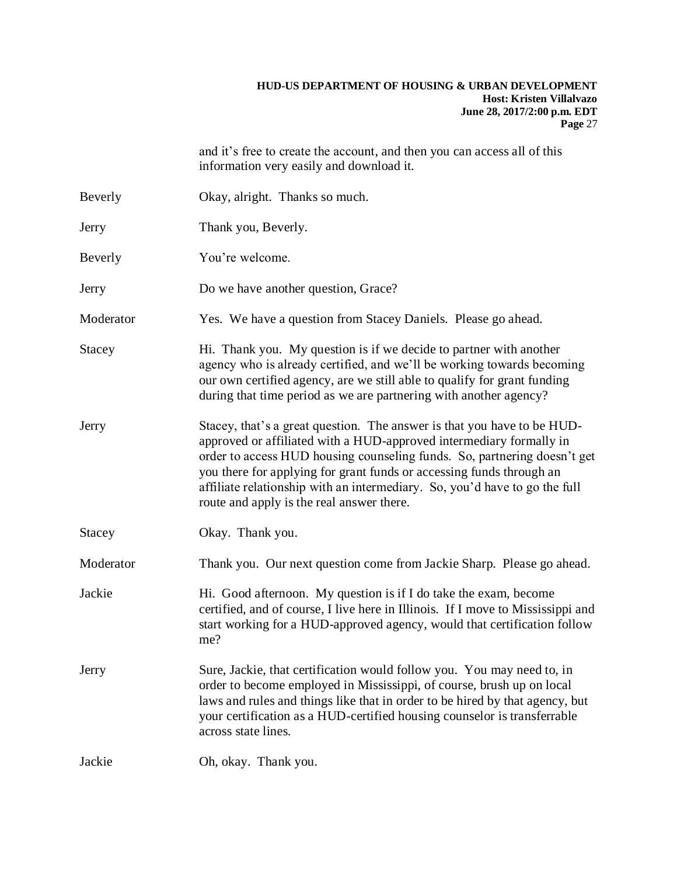and it's free to create the account, and then you can access all of this information very easily and download it.

| Beverly |  | Okay, alright. Thanks so much. |
|---------|--|--------------------------------|
|---------|--|--------------------------------|

- Jerry Thank you, Beverly.
- Beverly You're welcome.
- Jerry Do we have another question, Grace?
- Moderator Yes. We have a question from Stacey Daniels. Please go ahead.
- Stacey Hi. Thank you. My question is if we decide to partner with another agency who is already certified, and we'll be working towards becoming our own certified agency, are we still able to qualify for grant funding during that time period as we are partnering with another agency?
- Jerry Stacey, that's a great question. The answer is that you have to be HUDapproved or affiliated with a HUD-approved intermediary formally in order to access HUD housing counseling funds. So, partnering doesn't get you there for applying for grant funds or accessing funds through an affiliate relationship with an intermediary. So, you'd have to go the full route and apply is the real answer there.
- Stacey Okay. Thank you.
- Moderator Thank you. Our next question come from Jackie Sharp. Please go ahead.
- Jackie Hi. Good afternoon. My question is if I do take the exam, become certified, and of course, I live here in Illinois. If I move to Mississippi and start working for a HUD-approved agency, would that certification follow me?
- Jerry Sure, Jackie, that certification would follow you. You may need to, in order to become employed in Mississippi, of course, brush up on local laws and rules and things like that in order to be hired by that agency, but your certification as a HUD-certified housing counselor is transferrable across state lines.

Jackie Oh, okay. Thank you.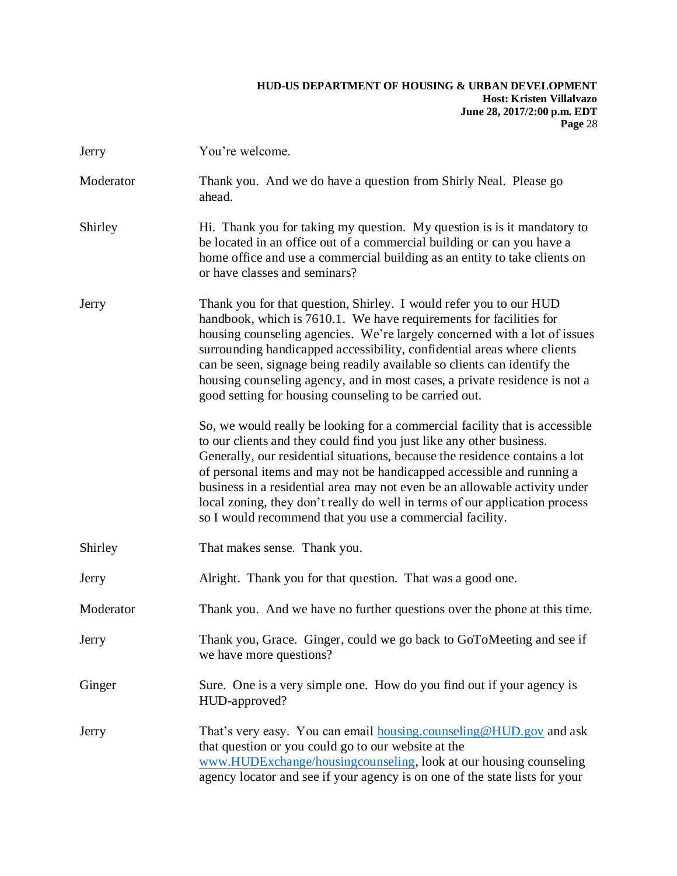| Jerry     | You're welcome.                                                                                                                                                                                                                                                                                                                                                                                                                                                                                                                      |
|-----------|--------------------------------------------------------------------------------------------------------------------------------------------------------------------------------------------------------------------------------------------------------------------------------------------------------------------------------------------------------------------------------------------------------------------------------------------------------------------------------------------------------------------------------------|
| Moderator | Thank you. And we do have a question from Shirly Neal. Please go<br>ahead.                                                                                                                                                                                                                                                                                                                                                                                                                                                           |
| Shirley   | Hi. Thank you for taking my question. My question is is it mandatory to<br>be located in an office out of a commercial building or can you have a<br>home office and use a commercial building as an entity to take clients on<br>or have classes and seminars?                                                                                                                                                                                                                                                                      |
| Jerry     | Thank you for that question, Shirley. I would refer you to our HUD<br>handbook, which is 7610.1. We have requirements for facilities for<br>housing counseling agencies. We're largely concerned with a lot of issues<br>surrounding handicapped accessibility, confidential areas where clients<br>can be seen, signage being readily available so clients can identify the<br>housing counseling agency, and in most cases, a private residence is not a<br>good setting for housing counseling to be carried out.                 |
|           | So, we would really be looking for a commercial facility that is accessible<br>to our clients and they could find you just like any other business.<br>Generally, our residential situations, because the residence contains a lot<br>of personal items and may not be handicapped accessible and running a<br>business in a residential area may not even be an allowable activity under<br>local zoning, they don't really do well in terms of our application process<br>so I would recommend that you use a commercial facility. |
| Shirley   | That makes sense. Thank you.                                                                                                                                                                                                                                                                                                                                                                                                                                                                                                         |
| Jerry     | Alright. Thank you for that question. That was a good one.                                                                                                                                                                                                                                                                                                                                                                                                                                                                           |
| Moderator | Thank you. And we have no further questions over the phone at this time.                                                                                                                                                                                                                                                                                                                                                                                                                                                             |
| Jerry     | Thank you, Grace. Ginger, could we go back to GoToMeeting and see if<br>we have more questions?                                                                                                                                                                                                                                                                                                                                                                                                                                      |
| Ginger    | Sure. One is a very simple one. How do you find out if your agency is<br>HUD-approved?                                                                                                                                                                                                                                                                                                                                                                                                                                               |
| Jerry     | That's very easy. You can email <b>housing.counseling@HUD.gov</b> and ask<br>that question or you could go to our website at the<br>www.HUDExchange/housingcounseling, look at our housing counseling<br>agency locator and see if your agency is on one of the state lists for your                                                                                                                                                                                                                                                 |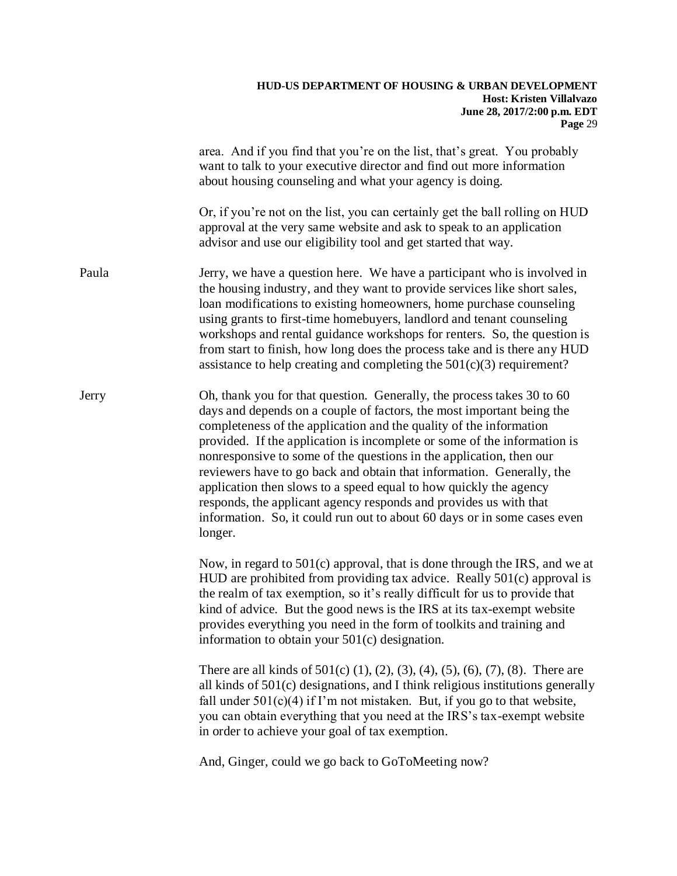|       | area. And if you find that you're on the list, that's great. You probably<br>want to talk to your executive director and find out more information<br>about housing counseling and what your agency is doing.                                                                                                                                                                                                                                                                                                                                                                                                                                                                      |
|-------|------------------------------------------------------------------------------------------------------------------------------------------------------------------------------------------------------------------------------------------------------------------------------------------------------------------------------------------------------------------------------------------------------------------------------------------------------------------------------------------------------------------------------------------------------------------------------------------------------------------------------------------------------------------------------------|
|       | Or, if you're not on the list, you can certainly get the ball rolling on HUD<br>approval at the very same website and ask to speak to an application<br>advisor and use our eligibility tool and get started that way.                                                                                                                                                                                                                                                                                                                                                                                                                                                             |
| Paula | Jerry, we have a question here. We have a participant who is involved in<br>the housing industry, and they want to provide services like short sales,<br>loan modifications to existing homeowners, home purchase counseling<br>using grants to first-time homebuyers, landlord and tenant counseling<br>workshops and rental guidance workshops for renters. So, the question is<br>from start to finish, how long does the process take and is there any HUD<br>assistance to help creating and completing the $501(c)(3)$ requirement?                                                                                                                                          |
| Jerry | Oh, thank you for that question. Generally, the process takes 30 to 60<br>days and depends on a couple of factors, the most important being the<br>completeness of the application and the quality of the information<br>provided. If the application is incomplete or some of the information is<br>nonresponsive to some of the questions in the application, then our<br>reviewers have to go back and obtain that information. Generally, the<br>application then slows to a speed equal to how quickly the agency<br>responds, the applicant agency responds and provides us with that<br>information. So, it could run out to about 60 days or in some cases even<br>longer. |
|       | Now, in regard to 501(c) approval, that is done through the IRS, and we at<br>HUD are prohibited from providing tax advice. Really 501(c) approval is<br>the realm of tax exemption, so it's really difficult for us to provide that<br>kind of advice. But the good news is the IRS at its tax-exempt website<br>provides everything you need in the form of toolkits and training and<br>information to obtain your 501(c) designation.                                                                                                                                                                                                                                          |
|       | There are all kinds of $501(c)$ (1), (2), (3), (4), (5), (6), (7), (8). There are<br>all kinds of 501(c) designations, and I think religious institutions generally<br>fall under $501(c)(4)$ if I'm not mistaken. But, if you go to that website,<br>you can obtain everything that you need at the IRS's tax-exempt website<br>in order to achieve your goal of tax exemption.                                                                                                                                                                                                                                                                                                   |
|       | And, Ginger, could we go back to GoToMeeting now?                                                                                                                                                                                                                                                                                                                                                                                                                                                                                                                                                                                                                                  |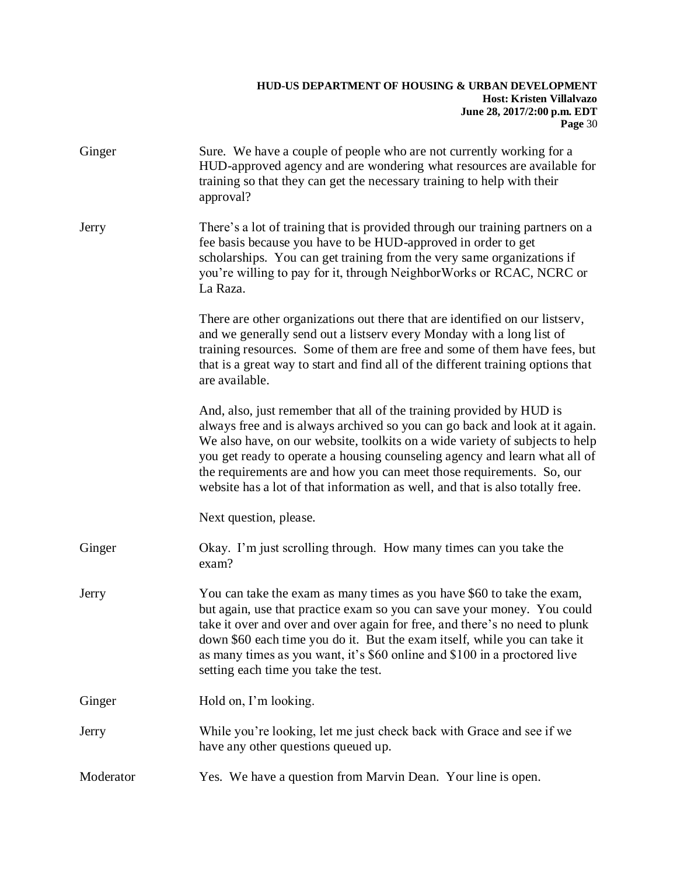| Ginger    | Sure. We have a couple of people who are not currently working for a<br>HUD-approved agency and are wondering what resources are available for<br>training so that they can get the necessary training to help with their<br>approval?                                                                                                                                                                                                                                      |
|-----------|-----------------------------------------------------------------------------------------------------------------------------------------------------------------------------------------------------------------------------------------------------------------------------------------------------------------------------------------------------------------------------------------------------------------------------------------------------------------------------|
| Jerry     | There's a lot of training that is provided through our training partners on a<br>fee basis because you have to be HUD-approved in order to get<br>scholarships. You can get training from the very same organizations if<br>you're willing to pay for it, through NeighborWorks or RCAC, NCRC or<br>La Raza.                                                                                                                                                                |
|           | There are other organizations out there that are identified on our listserv,<br>and we generally send out a listserv every Monday with a long list of<br>training resources. Some of them are free and some of them have fees, but<br>that is a great way to start and find all of the different training options that<br>are available.                                                                                                                                    |
|           | And, also, just remember that all of the training provided by HUD is<br>always free and is always archived so you can go back and look at it again.<br>We also have, on our website, toolkits on a wide variety of subjects to help<br>you get ready to operate a housing counseling agency and learn what all of<br>the requirements are and how you can meet those requirements. So, our<br>website has a lot of that information as well, and that is also totally free. |
|           | Next question, please.                                                                                                                                                                                                                                                                                                                                                                                                                                                      |
| Ginger    | Okay. I'm just scrolling through. How many times can you take the<br>exam?                                                                                                                                                                                                                                                                                                                                                                                                  |
| Jerry     | You can take the exam as many times as you have \$60 to take the exam,<br>but again, use that practice exam so you can save your money. You could<br>take it over and over and over again for free, and there's no need to plunk<br>down \$60 each time you do it. But the exam itself, while you can take it<br>as many times as you want, it's \$60 online and \$100 in a proctored live<br>setting each time you take the test.                                          |
| Ginger    | Hold on, I'm looking.                                                                                                                                                                                                                                                                                                                                                                                                                                                       |
| Jerry     | While you're looking, let me just check back with Grace and see if we<br>have any other questions queued up.                                                                                                                                                                                                                                                                                                                                                                |
| Moderator | Yes. We have a question from Marvin Dean. Your line is open.                                                                                                                                                                                                                                                                                                                                                                                                                |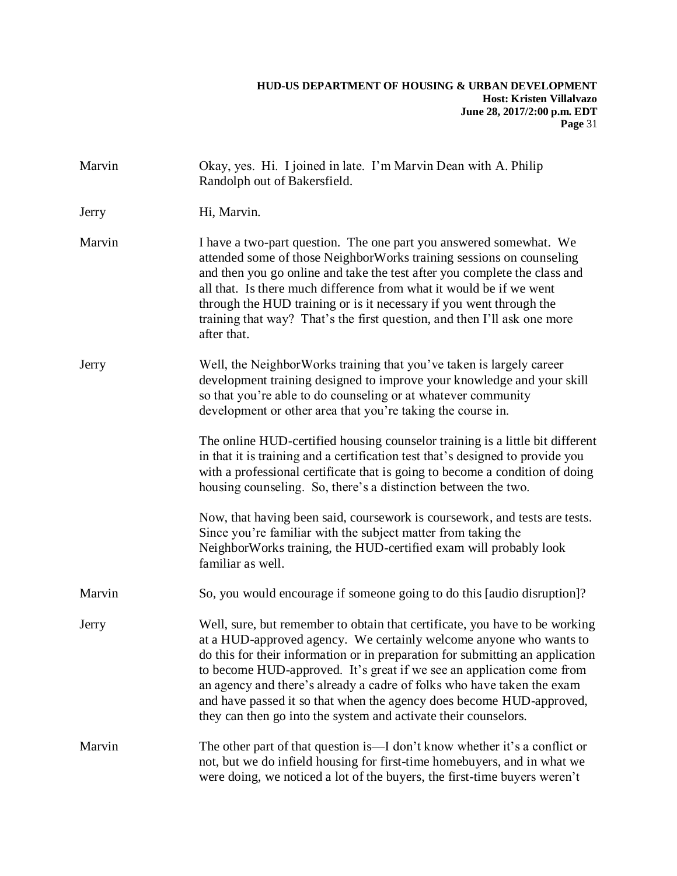| Marvin | Okay, yes. Hi. I joined in late. I'm Marvin Dean with A. Philip<br>Randolph out of Bakersfield.                                                                                                                                                                                                                                                                                                                                                                                                                                  |
|--------|----------------------------------------------------------------------------------------------------------------------------------------------------------------------------------------------------------------------------------------------------------------------------------------------------------------------------------------------------------------------------------------------------------------------------------------------------------------------------------------------------------------------------------|
| Jerry  | Hi, Marvin.                                                                                                                                                                                                                                                                                                                                                                                                                                                                                                                      |
| Marvin | I have a two-part question. The one part you answered somewhat. We<br>attended some of those NeighborWorks training sessions on counseling<br>and then you go online and take the test after you complete the class and<br>all that. Is there much difference from what it would be if we went<br>through the HUD training or is it necessary if you went through the<br>training that way? That's the first question, and then I'll ask one more<br>after that.                                                                 |
| Jerry  | Well, the Neighbor Works training that you've taken is largely career<br>development training designed to improve your knowledge and your skill<br>so that you're able to do counseling or at whatever community<br>development or other area that you're taking the course in.                                                                                                                                                                                                                                                  |
|        | The online HUD-certified housing counselor training is a little bit different<br>in that it is training and a certification test that's designed to provide you<br>with a professional certificate that is going to become a condition of doing<br>housing counseling. So, there's a distinction between the two.                                                                                                                                                                                                                |
|        | Now, that having been said, coursework is coursework, and tests are tests.<br>Since you're familiar with the subject matter from taking the<br>NeighborWorks training, the HUD-certified exam will probably look<br>familiar as well.                                                                                                                                                                                                                                                                                            |
| Marvin | So, you would encourage if someone going to do this [audio disruption]?                                                                                                                                                                                                                                                                                                                                                                                                                                                          |
| Jerry  | Well, sure, but remember to obtain that certificate, you have to be working<br>at a HUD-approved agency. We certainly welcome anyone who wants to<br>do this for their information or in preparation for submitting an application<br>to become HUD-approved. It's great if we see an application come from<br>an agency and there's already a cadre of folks who have taken the exam<br>and have passed it so that when the agency does become HUD-approved,<br>they can then go into the system and activate their counselors. |
| Marvin | The other part of that question is—I don't know whether it's a conflict or<br>not, but we do infield housing for first-time homebuyers, and in what we<br>were doing, we noticed a lot of the buyers, the first-time buyers weren't                                                                                                                                                                                                                                                                                              |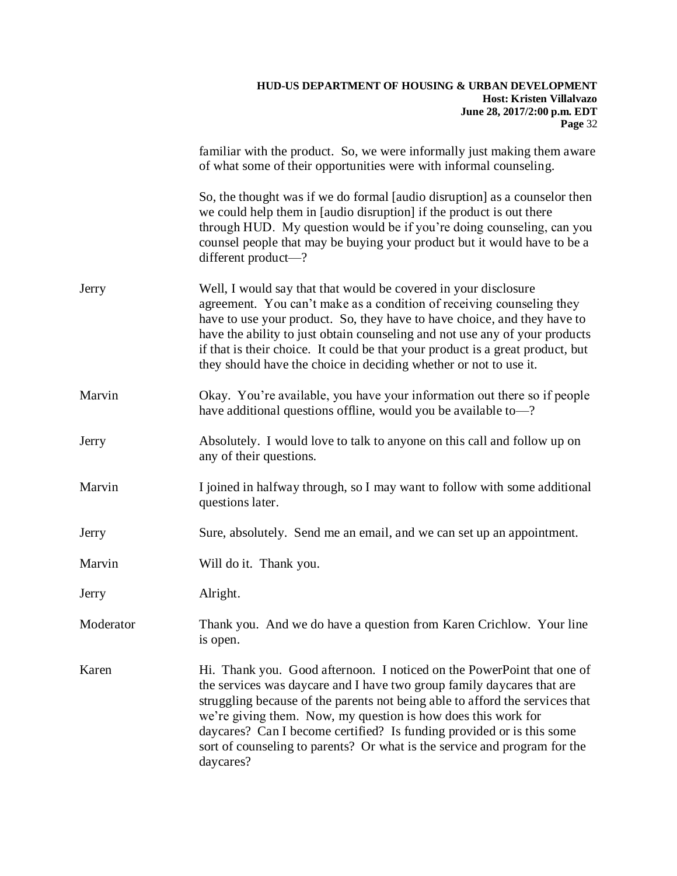|           | familiar with the product. So, we were informally just making them aware<br>of what some of their opportunities were with informal counseling.                                                                                                                                                                                                                                                                                                                       |
|-----------|----------------------------------------------------------------------------------------------------------------------------------------------------------------------------------------------------------------------------------------------------------------------------------------------------------------------------------------------------------------------------------------------------------------------------------------------------------------------|
|           | So, the thought was if we do formal [audio disruption] as a counselor then<br>we could help them in [audio disruption] if the product is out there<br>through HUD. My question would be if you're doing counseling, can you<br>counsel people that may be buying your product but it would have to be a<br>different product-?                                                                                                                                       |
| Jerry     | Well, I would say that that would be covered in your disclosure<br>agreement. You can't make as a condition of receiving counseling they<br>have to use your product. So, they have to have choice, and they have to<br>have the ability to just obtain counseling and not use any of your products<br>if that is their choice. It could be that your product is a great product, but<br>they should have the choice in deciding whether or not to use it.           |
| Marvin    | Okay. You're available, you have your information out there so if people<br>have additional questions offline, would you be available to-?                                                                                                                                                                                                                                                                                                                           |
| Jerry     | Absolutely. I would love to talk to anyone on this call and follow up on<br>any of their questions.                                                                                                                                                                                                                                                                                                                                                                  |
| Marvin    | I joined in halfway through, so I may want to follow with some additional<br>questions later.                                                                                                                                                                                                                                                                                                                                                                        |
| Jerry     | Sure, absolutely. Send me an email, and we can set up an appointment.                                                                                                                                                                                                                                                                                                                                                                                                |
| Marvin    | Will do it. Thank you.                                                                                                                                                                                                                                                                                                                                                                                                                                               |
| Jerry     | Alright.                                                                                                                                                                                                                                                                                                                                                                                                                                                             |
| Moderator | Thank you. And we do have a question from Karen Crichlow. Your line<br>is open.                                                                                                                                                                                                                                                                                                                                                                                      |
| Karen     | Hi. Thank you. Good afternoon. I noticed on the PowerPoint that one of<br>the services was daycare and I have two group family daycares that are<br>struggling because of the parents not being able to afford the services that<br>we're giving them. Now, my question is how does this work for<br>daycares? Can I become certified? Is funding provided or is this some<br>sort of counseling to parents? Or what is the service and program for the<br>daycares? |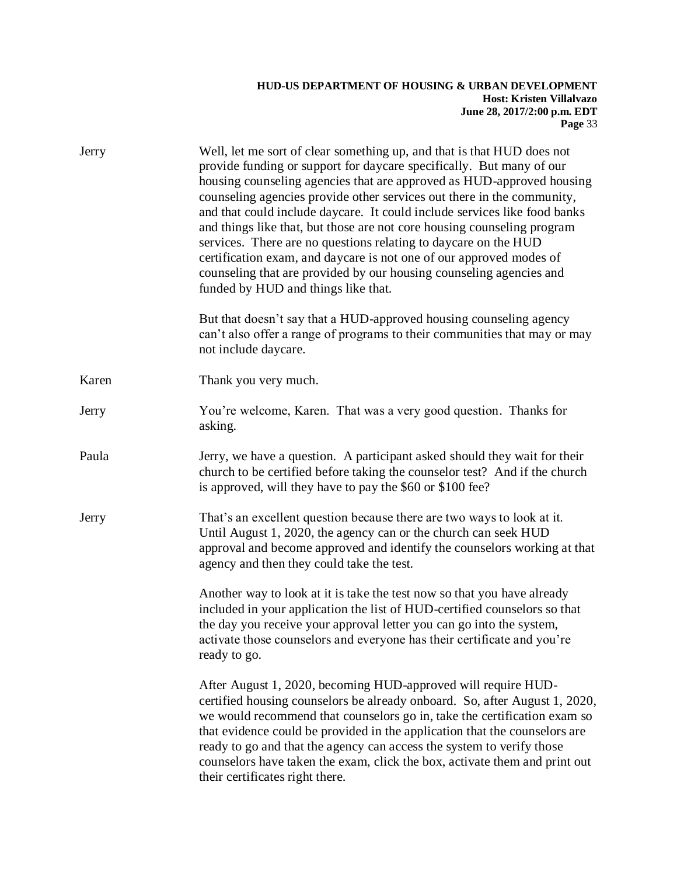| Jerry | Well, let me sort of clear something up, and that is that HUD does not<br>provide funding or support for daycare specifically. But many of our<br>housing counseling agencies that are approved as HUD-approved housing<br>counseling agencies provide other services out there in the community,<br>and that could include daycare. It could include services like food banks<br>and things like that, but those are not core housing counseling program<br>services. There are no questions relating to daycare on the HUD<br>certification exam, and daycare is not one of our approved modes of<br>counseling that are provided by our housing counseling agencies and<br>funded by HUD and things like that. |
|-------|-------------------------------------------------------------------------------------------------------------------------------------------------------------------------------------------------------------------------------------------------------------------------------------------------------------------------------------------------------------------------------------------------------------------------------------------------------------------------------------------------------------------------------------------------------------------------------------------------------------------------------------------------------------------------------------------------------------------|
|       | But that doesn't say that a HUD-approved housing counseling agency<br>can't also offer a range of programs to their communities that may or may<br>not include daycare.                                                                                                                                                                                                                                                                                                                                                                                                                                                                                                                                           |
| Karen | Thank you very much.                                                                                                                                                                                                                                                                                                                                                                                                                                                                                                                                                                                                                                                                                              |
| Jerry | You're welcome, Karen. That was a very good question. Thanks for<br>asking.                                                                                                                                                                                                                                                                                                                                                                                                                                                                                                                                                                                                                                       |
| Paula | Jerry, we have a question. A participant asked should they wait for their<br>church to be certified before taking the counselor test? And if the church<br>is approved, will they have to pay the \$60 or \$100 fee?                                                                                                                                                                                                                                                                                                                                                                                                                                                                                              |
| Jerry | That's an excellent question because there are two ways to look at it.<br>Until August 1, 2020, the agency can or the church can seek HUD<br>approval and become approved and identify the counselors working at that<br>agency and then they could take the test.                                                                                                                                                                                                                                                                                                                                                                                                                                                |
|       | Another way to look at it is take the test now so that you have already<br>included in your application the list of HUD-certified counselors so that<br>the day you receive your approval letter you can go into the system,<br>activate those counselors and everyone has their certificate and you're<br>ready to go.                                                                                                                                                                                                                                                                                                                                                                                           |
|       | After August 1, 2020, becoming HUD-approved will require HUD-<br>certified housing counselors be already onboard. So, after August 1, 2020,<br>we would recommend that counselors go in, take the certification exam so<br>that evidence could be provided in the application that the counselors are<br>ready to go and that the agency can access the system to verify those<br>counselors have taken the exam, click the box, activate them and print out<br>their certificates right there.                                                                                                                                                                                                                   |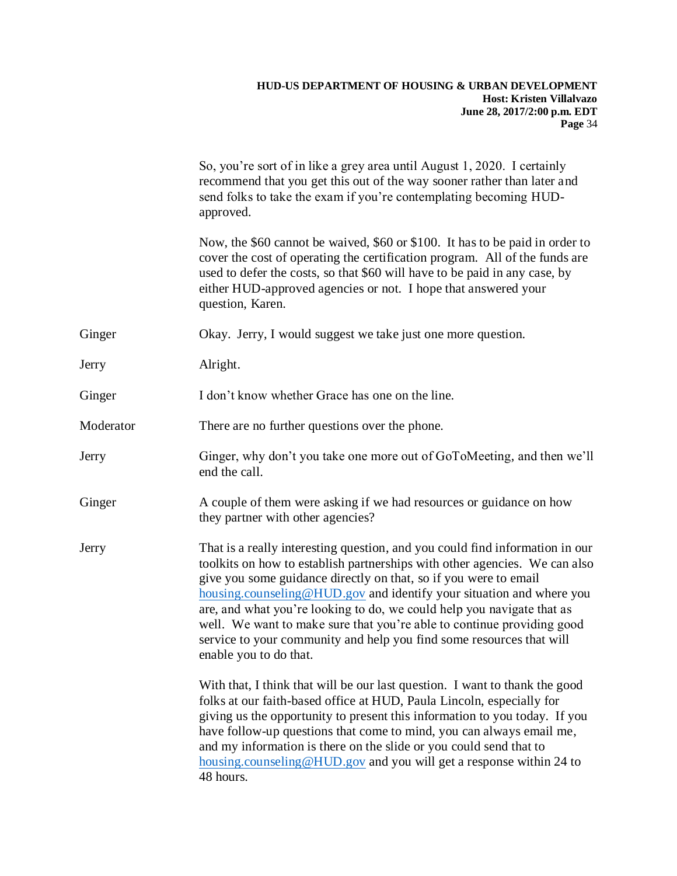|           | So, you're sort of in like a grey area until August 1, 2020. I certainly<br>recommend that you get this out of the way sooner rather than later and<br>send folks to take the exam if you're contemplating becoming HUD-<br>approved.                                                                                                                                                                                                                                                                                                                        |
|-----------|--------------------------------------------------------------------------------------------------------------------------------------------------------------------------------------------------------------------------------------------------------------------------------------------------------------------------------------------------------------------------------------------------------------------------------------------------------------------------------------------------------------------------------------------------------------|
|           | Now, the \$60 cannot be waived, \$60 or \$100. It has to be paid in order to<br>cover the cost of operating the certification program. All of the funds are<br>used to defer the costs, so that \$60 will have to be paid in any case, by<br>either HUD-approved agencies or not. I hope that answered your<br>question, Karen.                                                                                                                                                                                                                              |
| Ginger    | Okay. Jerry, I would suggest we take just one more question.                                                                                                                                                                                                                                                                                                                                                                                                                                                                                                 |
| Jerry     | Alright.                                                                                                                                                                                                                                                                                                                                                                                                                                                                                                                                                     |
| Ginger    | I don't know whether Grace has one on the line.                                                                                                                                                                                                                                                                                                                                                                                                                                                                                                              |
| Moderator | There are no further questions over the phone.                                                                                                                                                                                                                                                                                                                                                                                                                                                                                                               |
| Jerry     | Ginger, why don't you take one more out of GoToMeeting, and then we'll<br>end the call.                                                                                                                                                                                                                                                                                                                                                                                                                                                                      |
| Ginger    | A couple of them were asking if we had resources or guidance on how<br>they partner with other agencies?                                                                                                                                                                                                                                                                                                                                                                                                                                                     |
| Jerry     | That is a really interesting question, and you could find information in our<br>toolkits on how to establish partnerships with other agencies. We can also<br>give you some guidance directly on that, so if you were to email<br>housing.counseling@HUD.gov and identify your situation and where you<br>are, and what you're looking to do, we could help you navigate that as<br>well. We want to make sure that you're able to continue providing good<br>service to your community and help you find some resources that will<br>enable you to do that. |
|           | With that, I think that will be our last question. I want to thank the good<br>folks at our faith-based office at HUD, Paula Lincoln, especially for<br>giving us the opportunity to present this information to you today. If you<br>have follow-up questions that come to mind, you can always email me,<br>and my information is there on the slide or you could send that to<br>housing.counseling@HUD.gov and you will get a response within 24 to<br>48 hours.                                                                                         |